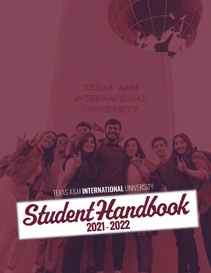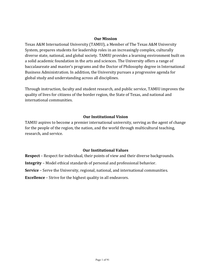#### **Our Mission**

Texas A&M International University (TAMIU), a Member of The Texas A&M University System, prepares students for leadership roles in an increasingly complex, culturally diverse state, national, and global society. TAMIU provides a learning environment built on a solid academic foundation in the arts and sciences. The University offers a range of baccalaureate and master's programs and the Doctor of Philosophy degree in International Business Administration. In addition, the University pursues a progressive agenda for global study and understanding across all disciplines.

Through instruction, faculty and student research, and public service, TAMIU improves the quality of lives for citizens of the border region, the State of Texas, and national and international communities.

#### **Our Institutional Vision**

TAMIU aspires to become a premier international university, serving as the agent of change for the people of the region, the nation, and the world through multicultural teaching, research, and service.

#### **Our Institutional Values**

**Respect** – Respect for individual, their points of view and their diverse backgrounds.

**Integrity** – Model ethical standards of personal and professional behavior.

**Service** – Serve the University, regional, national, and international communities.

**Excellence** – Strive for the highest quality in all endeavors.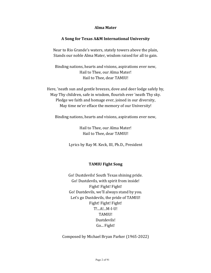#### **Alma Mater**

#### **A Song for Texas A&M International University**

Near to Rio Grande's waters, stately towers above the plain, Stands our noble Alma Mater, wisdom raised for all to gain.

Binding nations, hearts and visions, aspirations ever new, Hail to Thee, our Alma Mater! Hail to Thee, dear TAMIU!

Here, 'neath sun and gentle breezes, dove and deer lodge safely by, May Thy children, safe in wisdom, flourish ever 'neath Thy sky. Pledge we faith and homage ever, joined in our diversity, May time ne'er efface the memory of our University!

Binding nations, hearts and visions, aspirations ever new,

Hail to Thee, our Alma Mater! Hail to Thee, dear TAMIU!

Lyrics by Ray M. Keck, III, Ph.D., President

#### **TAMIU Fight Song**

Go! Dustdevils! South Texas shining pride. Go! Dustdevils, with spirit from inside! Fight! Fight! Go! Dustdevils, we'll always stand by you. Let's go Dustdevils, the pride of TAMIU! Fight! Fight! T!...A!...M-I-U! TAMIU! Dustdevils! Go... Fight!

Composed by Michael Bryan Parker (1965-2022)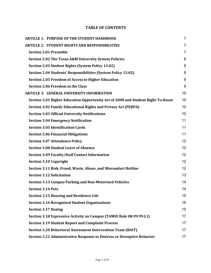# **TABLE OF CONTENTS**

| <b>ARTICLE 1. PURPOSE OF THE STUDENT HANDBOOK</b>                               | $\overline{7}$ |
|---------------------------------------------------------------------------------|----------------|
| <b>ARTICLE 2. STUDENT RIGHTS AND RESPONSIBILITIES</b>                           | $\overline{7}$ |
| <b>Section 2.01 Preamble</b>                                                    | $\overline{7}$ |
| Section 2.02 The Texas A&M University System Policies                           | 8              |
| Section 2.03 Student Rights (System Policy 13.02)                               | 8              |
| Section 2.04 Students' Responsibilities (System Policy 13.02)                   | 8              |
| <b>Section 2.05 Freedom of Access to Higher Education</b>                       | 9              |
| <b>Section 2.06 Freedom in the Class</b>                                        | 9              |
| <b>ARTICLE 3. GENERAL UNIVERSITY INFORMATION</b>                                | 10             |
| Section 3.01 Higher Education Opportunity Act of 2008 and Student Right-To-Know | 10             |
| <b>Section 3.02 Family Educational Rights and Privacy Act (FERPA)</b>           | 10             |
| <b>Section 3.03 Official University Notifications</b>                           | 10             |
| <b>Section 3.04 Emergency Notification</b>                                      | 11             |
| <b>Section 3.05 Identification Cards</b>                                        | 11             |
| <b>Section 3.06 Financial Obligations</b>                                       | 11             |
| <b>Section 3.07 Attendance Policy</b>                                           | 12             |
| <b>Section 3.08 Student Leave of Absence</b>                                    | 12             |
| <b>Section 3.09 Faculty/Staff Contact Information</b>                           | 12             |
| <b>Section 3.10 Copyright</b>                                                   | 12             |
| Section 3.11 Risk, Fraud, Waste, Abuse, and Misconduct Hotline                  | 12             |
| <b>Section 3.12 Solicitation</b>                                                | 13             |
| <b>Section 3.13 Campus Parking and Non-Motorized Vehicles</b>                   | 14             |
| <b>Section 3.14 Pets</b>                                                        | 14             |
| <b>Section 3.15 Housing and Residence Life</b>                                  | 15             |
| <b>Section 3.16 Recognized Student Organizations</b>                            | 15             |
| <b>Section 3.17 Hazing</b>                                                      | 15             |
| Section 3.18 Expressive Activity on Campus (TAMIU Rule 08.99.99.L1)             | 17             |
| <b>Section 3.19 Student Report and Complaint Process</b>                        | 17             |
| <b>Section 3.20 Behavioral Assessment Intervention Team (BAIT)</b>              | 17             |
| Section 3.21 Administrative Response to Distress or Disruptive Behavior         | 17             |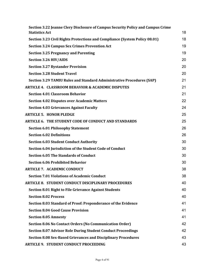| Section 3.22 Jeanne Clery Disclosure of Campus Security Policy and Campus Crime |    |
|---------------------------------------------------------------------------------|----|
| <b>Statistics Act</b>                                                           | 18 |
| Section 3.23 Civil Rights Protections and Compliance (System Policy 08.01)      | 18 |
| <b>Section 3.24 Campus Sex Crimes Prevention Act</b>                            | 19 |
| <b>Section 3.25 Pregnancy and Parenting</b>                                     | 19 |
| <b>Section 3.26 HIV/AIDS</b>                                                    | 20 |
| <b>Section 3.27 Bystander Provision</b>                                         | 20 |
| <b>Section 3.28 Student Travel</b>                                              | 20 |
| Section 3.29 TAMIU Rules and Standard Administrative Procedures (SAP)           | 21 |
| <b>ARTICLE 4. CLASSROOM BEHAVIOR &amp; ACADEMIC DISPUTES</b>                    | 21 |
| <b>Section 4.01 Classroom Behavior</b>                                          | 21 |
| <b>Section 4.02 Disputes over Academic Matters</b>                              | 22 |
| <b>Section 4.03 Grievances Against Faculty</b>                                  | 24 |
| <b>ARTICLE 5. HONOR PLEDGE</b>                                                  | 25 |
| <b>ARTICLE 6. THE STUDENT CODE OF CONDUCT AND STANDARDS</b>                     | 25 |
| <b>Section 6.01 Philosophy Statement</b>                                        | 26 |
| <b>Section 6.02 Definitions</b>                                                 | 26 |
| <b>Section 6.03 Student Conduct Authority</b>                                   | 30 |
| Section 6.04 Jurisdiction of the Student Code of Conduct                        | 30 |
| <b>Section 6.05 The Standards of Conduct</b>                                    | 30 |
| <b>Section 6.06 Prohibited Behavior</b>                                         | 30 |
| <b>ARTICLE 7. ACADEMIC CONDUCT</b>                                              | 38 |
| <b>Section 7.01 Violations of Academic Conduct</b>                              | 38 |
| <b>ARTICLE 8. STUDENT CONDUCT DISCIPLINARY PROCEDURES</b>                       | 40 |
| <b>Section 8.01 Right to File Grievance Against Students</b>                    | 40 |
| <b>Section 8.02 Process</b>                                                     | 40 |
| Section 8.03 Standard of Proof: Preponderance of the Evidence                   | 41 |
| <b>Section 8.04 Good Cause Provision</b>                                        | 41 |
| <b>Section 8.05 Amnesty</b>                                                     | 41 |
| <b>Section 8.06 No Contact Orders (No Communication Order)</b>                  | 42 |
| <b>Section 8.07 Advisor Role During Student Conduct Proceedings</b>             | 42 |
| <b>Section 8.08 Sex-Based Grievances and Disciplinary Procedures</b>            | 43 |
| <b>ARTICLE 9. STUDENT CONDUCT PROCEEDING</b>                                    | 43 |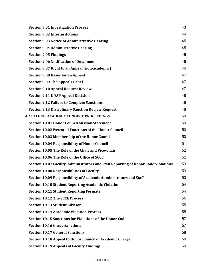| <b>Section 9.01 Investigation Process</b>                                          | 43 |
|------------------------------------------------------------------------------------|----|
| <b>Section 9.02 Interim Actions</b>                                                | 44 |
| <b>Section 9.03 Notice of Administrative Hearing</b>                               | 45 |
| <b>Section 9.04 Administrative Hearing</b>                                         | 45 |
| <b>Section 9.05 Findings</b>                                                       | 46 |
| <b>Section 9.06 Notification of Outcomes</b>                                       | 46 |
| Section 9.07 Right to an Appeal (non-academic)                                     | 46 |
| <b>Section 9.08 Bases for an Appeal</b>                                            | 47 |
| <b>Section 9.09 The Appeals Panel</b>                                              | 47 |
| <b>Section 9.10 Appeal Request Review</b>                                          | 47 |
| <b>Section 9.11 UDAP Appeal Decision</b>                                           | 48 |
| <b>Section 9.12 Failure to Complete Sanctions</b>                                  | 48 |
| <b>Section 9.13 Disciplinary Sanction Review Request</b>                           | 48 |
| <b>ARTICLE 10. ACADEMIC CONDUCT PROCEEDINGS</b>                                    | 50 |
| <b>Section 10.01 Honor Council Mission Statement</b>                               | 50 |
| <b>Section 10.02 Essential Functions of the Honor Council</b>                      | 50 |
| <b>Section 10.03 Membership of the Honor Council</b>                               | 50 |
| <b>Section 10.04 Responsibility of Honor Council</b>                               | 51 |
| Section 10.05 The Role of the Chair and Vice-Chair                                 | 52 |
| Section 10.06 The Role of the Office of SCCE                                       | 52 |
| Section 10.07 Faculty, Administrators and Staff Reporting of Honor Code Violations | 53 |
| <b>Section 10.08 Responsibilities of Faculty</b>                                   | 53 |
| Section 10.09 Responsibility of Academic Administrators and Staff                  | 53 |
| <b>Section 10.10 Student Reporting Academic Violation</b>                          | 54 |
| <b>Section 10.11 Student Reporting Formats</b>                                     | 54 |
| <b>Section 10.12 The SCCE Process</b>                                              | 55 |
| <b>Section 10.13 Student Advisor</b>                                               | 55 |
| <b>Section 10.14 Academic Violation Process</b>                                    | 55 |
| <b>Section 10.15 Sanctions for Violations of the Honor Code</b>                    | 57 |
| <b>Section 10.16 Grade Sanctions</b>                                               | 57 |
| <b>Section 10.17 General Sanctions</b>                                             | 58 |
| Section 10.18 Appeal to Honor Council of Academic Charge                           | 59 |
| <b>Section 10.19 Appeals of Faculty Findings</b>                                   | 60 |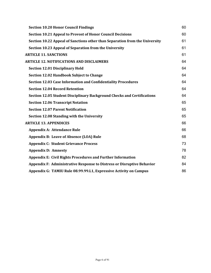| <b>Section 10.20 Honor Council Findings</b>                                 | 60 |
|-----------------------------------------------------------------------------|----|
| <b>Section 10.21 Appeal to Provost of Honor Council Decisions</b>           | 60 |
| Section 10.22 Appeal of Sanctions other than Separation from the University | 61 |
| Section 10.23 Appeal of Separation from the University                      | 61 |
| <b>ARTICLE 11. SANCTIONS</b>                                                | 61 |
| <b>ARTICLE 12. NOTIFICATIONS AND DISCLAIMERS</b>                            | 64 |
| <b>Section 12.01 Disciplinary Hold</b>                                      | 64 |
| Section 12.02 Handbook Subject to Change                                    | 64 |
| <b>Section 12.03 Case Information and Confidentiality Procedures</b>        | 64 |
| <b>Section 12.04 Record Retention</b>                                       | 64 |
| Section 12.05 Student Disciplinary Background Checks and Certifications     | 64 |
| <b>Section 12.06 Transcript Notation</b>                                    | 65 |
| <b>Section 12.07 Parent Notification</b>                                    | 65 |
| Section 12.08 Standing with the University                                  | 65 |
| <b>ARTICLE 13. APPENDICES</b>                                               | 66 |
| <b>Appendix A: Attendance Rule</b>                                          | 66 |
| <b>Appendix B: Leave of Absence (LOA) Rule</b>                              | 68 |
| <b>Appendix C: Student Grievance Process</b>                                | 73 |
| <b>Appendix D: Amnesty</b>                                                  | 78 |
| <b>Appendix E: Civil Rights Procedures and Further Information</b>          | 82 |
| Appendix F: Administrative Response to Distress or Disruptive Behavior      | 84 |
| Appendix G: TAMIU Rule 08.99.99.L1, Expressive Activity on Campus           | 86 |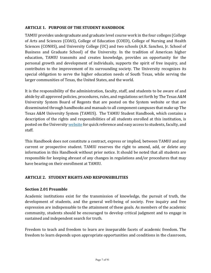## **ARTICLE 1. PURPOSE OF THE STUDENT HANDBOOK**

TAMIU provides undergraduate and graduate level course work in the four colleges (College of Arts and Sciences (COAS), College of Education (COED), College of Nursing and Health Sciences (CONHS), and University College (UC) and two schools (A.R. Sanchez, Jr. School of Business and Graduate School) of the University. In the tradition of American higher education, TAMIU transmits and creates knowledge, provides an opportunity for the personal growth and development of individuals, supports the spirit of free inquiry, and contributes to the improvement of its surrounding society. The University recognizes its special obligation to serve the higher education needs of South Texas, while serving the larger communities of Texas, the United States, and the world.

It is the responsibility of the administration, faculty, staff, and students to be aware of and abide by all approved policies, procedures, rules, and regulations set forth by The Texas A&M University System Board of Regents that are posted on the System website or that are disseminated through handbooks and manuals to all component campuses that make up The Texas A&M University System (TAMUS). The TAMIU Student Handbook, which contains a description of the rights and responsibilities of all students enrolled at this institution, is posted on the University website for quick reference and easy access to students, faculty, and staff.

This Handbook does not constitute a contract, express or implied, between TAMIU and any current or prospective student. TAMIU reserves the right to amend, add, or delete any information in this Handbook without prior notice. It should be noted that all students are responsible for keeping abreast of any changes in regulations and/or procedures that may have bearing on their enrollment at TAMIU.

# **ARTICLE 2. STUDENT RIGHTS AND RESPONSIBILITIES**

#### **Section 2.01 Preamble**

Academic institutions exist for the transmission of knowledge, the pursuit of truth, the development of students, and the general well-being of society. Free inquiry and free expression are indispensable to the attainment of these goals. As members of the academic community, students should be encouraged to develop critical judgment and to engage in sustained and independent search for truth.

Freedom to teach and freedom to learn are inseparable facets of academic freedom. The freedom to learn depends upon appropriate opportunities and conditions in the classroom,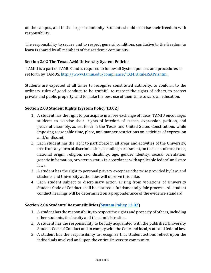on the campus, and in the larger community. Students should exercise their freedom with responsibility.

The responsibility to secure and to respect general conditions conducive to the freedom to learn is shared by all members of the academic community.

### **Section 2.02 The Texas A&M University System Policies**

TAMIU is a part of TAMUS and is required to follow all System policies and procedures as set forth by TAMUS. http://www.tamiu.edu/compliance/TAMIURulesSAPs.shtml.

Students are expected at all times to recognize constituted authority, to conform to the ordinary rules of good conduct, to be truthful, to respect the rights of others, to protect private and public property, and to make the best use of their time toward an education.

# **Section 2.03 Student Rights (System Policy 13.02)**

- 1. A student has the right to participate in a free exchange of ideas. TAMIU encourages students to exercise their rights of freedom of speech, expression, petition, and peaceful assembly, as set forth in the Texas and United States Constitutions while imposing reasonable time, place, and manner restrictions on activities of expression and/or dissent.
- 2. Each student has the right to participate in all areas and activities of the University, free from any form of discrimination, including harassment, on the basis of race, color, national origin, religion, sex, disability, age, gender identity, sexual orientation, genetic information, or veteran status in accordance with applicable federal and state laws.
- 3. A student has the right to personal privacy except as otherwise provided by law, and students and University authorities will observe this alike.
- 4. Each student subject to disciplinary action arising from violations of University Student Code of Conduct shall be assured a fundamentally fair process . All student conduct hearings will be determined on a preponderance of the evidence standard.

#### **Section 2.04 Students' Responsibilities (System Policy 13.02)**

- 1. A student has the responsibility to respect the rights and property of others, including other students, the faculty and the administration.
- 2. A student has the responsibility to be fully acquainted with the published University Student Code of Conduct and to comply with the Code and local, state and federal law.
- 3. A student has the responsibility to recognize that student actions reflect upon the individuals involved and upon the entire University community.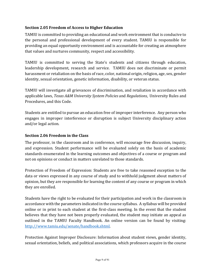# **Section 2.05 Freedom of Access to Higher Education**

TAMIU is committed to providing an educational and work environment that is conducive to the personal and professional development of every student. TAMIU is responsible for providing an equal opportunity environment and is accountable for creating an atmosphere that values and nurtures community, respect and accessibility.

TAMIU is committed to serving the State's students and citizens through education, leadership development, research and service. TAMIU does not discriminate or permit harassment or retaliation on the basis of race, color, national origin, religion, age, sex, gender identity, sexual orientation, genetic information, disability, or veteran status.

TAMIU will investigate all grievances of discrimination, and retaliation in accordance with applicable laws, *Texas A&M University System Policies* and *Regulations*, University Rules and Procedures, and this Code.

Students are entitled to pursue an education free of improper interference. Any person who engages in improper interference or disruption is subject University disciplinary action and/or legal action.

#### **Section 2.06 Freedom in the Class**

The professor, in the classroom and in conference, will encourage free discussion, inquiry, and expression. Student performance will be evaluated solely on the basis of academic standards enumerated in the learning outcomes and objectives of a course or program and not on opinions or conduct in matters unrelated to those standards.

Protection of Freedom of Expression: Students are free to take reasoned exception to the data or views expressed in any course of study and to withhold judgment about matters of opinion, but they are responsible for learning the content of any course or program in which they are enrolled.

Students have the right to be evaluated for their participation and work in the classroom in accordance with the parameters indicated in the course syllabus. A syllabus will be provided online or in print to each student at the first-class meeting. In the event that the student believes that they have not been properly evaluated, the student may initiate an appeal as outlined in the TAMIU Faculty Handbook. An online version can be found by visiting: http://www.tamiu.edu/senate/handbook.shtml. 

Protection Against Improper Disclosure: Information about student views, gender identity, sexual orientation, beliefs, and political associations, which professors acquire in the course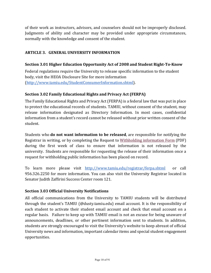of their work as instructors, advisors, and counselors should not be improperly disclosed. Judgments of ability and character may be provided under appropriate circumstances, normally with the knowledge and consent of the student.

# **ARTICLE 3. GENERAL UNIVERSITY INFORMATION**

## **Section 3.01 Higher Education Opportunity Act of 2008 and Student Right-To-Know**

Federal regulations require the University to release specific information to the student body, visit the HEOA Disclosure Site for more information [\(http://www.tamiu.edu/StudentConsumerInformation.shtml\)](http://www.tamiu.edu/StudentConsumerInformation.shtml).

### **Section 3.02 Family Educational Rights and Privacy Act (FERPA)**

The Family Educational Rights and Privacy Act (FERPA) is a federal law that was put in place to protect the educational records of students. TAMIU, without consent of the student, may release information designated as Directory Information. In most cases, confidential information from a student's record cannot be released without prior written consent of the student. 

Students who **do not want information to be released**, are responsible for notifying the Registrar in writing, or by completing the Request to Withholding information Form (PDF) during the first week of class to ensure that information is not released by the university. Students are responsible for requesting the release of their information once a request for withholding public information has been placed on record.

To learn more please visit <http://www.tamiu.edu/registrar/ferpa.shtml> or call 956.326.2250 for more information. You can also visit the University Registrar located in Senator Judith Zaffirini Success Center room 121.

#### **Section 3.03 Official University Notifications**

All official communications from the University to TAMIU students will be distributed through the student's TAMIU  $(\emptyset$  dusty.tamiu.edu) email account. It is the responsibility of each student to activate their student email account and check that email account on a regular basis. Failure to keep up with TAMIU email is not an excuse for being unaware of announcements, deadlines, or other pertinent information sent to students. In addition, students are strongly encouraged to visit the University's website to keep abreast of official University news and information, important calendar items and special student engagement opportunities.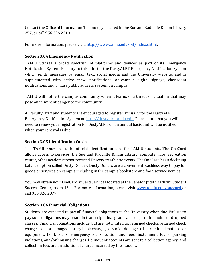Contact the Office of Information Technology, located in the Sue and Radcliffe Killam Library 257, or call 956.326.2310.

For more information, please visit: [http://www.tamiu.edu/oit/index.shtml.](http://www.tamiu.edu/oit/index.shtml)

## **Section 3.04 Emergency Notification**

TAMIU utilizes a broad spectrum of platforms and devices as part of its Emergency Notification System. Primary to this effort is the DustyALRT Emergency Notification System which sends messages by email, text, social media and the University website, and is supplemented with active crawl notifications, on-campus digital signage, classroom notifications and a mass public address system on campus.

TAMIU will notify the campus community when it learns of a threat or situation that may pose an imminent danger to the community.

All faculty, staff and students are encouraged to register annually for the DustyALRT Emergency Notification System at http://dustyalrt.tamiu.edu. Please note that you will need to renew your registration for DustyALRT on an annual basis and will be notified when your renewal is due.

#### **Section 3.05 Identification Cards**

The TAMIU OneCard is the official identification card for TAMIU students. The OneCard allows access to services, the Sue and Radcliffe Killam Library, computer labs, recreation center, other academic resources and University athletic events. The OneCard has a declining balance option called Dusty Dollars. Dusty Dollars are a convenient, cashless way to pay for goods or services on campus including in the campus bookstore and food service venues.

You may obtain your OneCard at Card Services located at the Senator Judith Zaffirini Student Success Center, room 131. For more information, please visit www.tamiu.edu/onecard or call 956.326.2877.

#### **Section 3.06 Financial Obligations**

Students are expected to pay all financial obligations to the University when due. Failure to pay such obligations may result in transcript, final grade, and registration holds or dropped classes. Financial obligations include, but are not limited to, returned checks, returned check charges, lost or damaged library book charges, loss of or damage to instructional material or equipment, book loans, emergency loans, tuition and fees, installment loans, parking violations, and/or housing charges. Delinquent accounts are sent to a collection agency, and collection fees are an additional charge incurred by the student.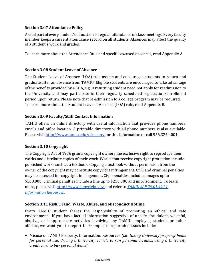## **Section 3.07 Attendance Policy**

A vital part of every student's education is regular attendance of class meetings. Every faculty member keeps a current attendance record on all students. Absences may affect the quality of a student's work and grades.

To learn more about the Attendance Rule and specific excused absences, read Appendix A.

### **Section 3.08 Student Leave of Absence**

The Student Leave of Absence (LOA) rule assists and encourages students to return and graduate after an absence from TAMIU. Eligible students are encouraged to take advantage of the benefits provided by a LOA, e.g., a returning student need not apply for readmission to the University and may participate in their regularly scheduled registration/enrollment period upon return. Please note that re-admission to a college program may be required. To learn more about the Student Leave of Absence (LOA) rule, read Appendix B.

### **Section 3.09 Faculty/Staff Contact Information**

TAMIU offers an online directory with useful information that provides phone numbers, emails and office location. A printable directory with all phone numbers is also available. Please visit http://www.tamiu.edu/directory for this information or call 956.326.2001.

#### **Section 3.10 Copyright**

The Copyright Act of 1976 grants copyright owners the exclusive right to reproduce their works and distribute copies of their work. Works that receive copyright protection include published works such as a textbook. Copying a textbook without permission from the owner of the copyright may constitute copyright infringement. Civil and criminal penalties may be assessed for copyright infringement. Civil penalties include damages up to \$100,000; criminal penalties include a fine up to \$250,000 and imprisonment. To learn more, please visit http://www.copyright.gov. and refer to *TAMIU SAP 29.01.99.L1*, *Information Resources*.

#### **Section 3.11 Risk, Fraud, Waste, Abuse, and Misconduct Hotline**

Every TAMIU student shares the responsibility of promoting an ethical and safe environment. If you have factual information suggestive of unsafe, fraudulent, wasteful, abusive, or inappropriate activities involving any TAMIU employee, student, or other affiliate, we want you to report it. Examples of reportable issues include:

• Misuse of TAMIU Property, Information, Resources *(i.e., taking University property home for personal use; driving a University vehicle to run personal errands; using a University credit card to buy personal items)*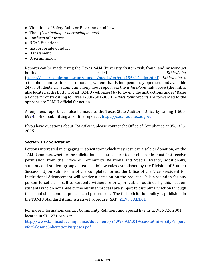- Violations of Safety Rules or Environmental Laws
- Theft *(i.e., stealing or borrowing money)*
- Conflicts of Interest
- NCAA Violations
- Inappropriate Conduct
- Harassment
- Discrimination

Reports can be made using the Texas A&M University System risk, fraud, and misconduct **hotline** *EthicsPoint* **Called** *Called Called EthicsPoint* [\(https://secure.ethicspoint.com/domain/media/en/gui/19681/index.html\)](https://secure.ethicspoint.com/domain/media/en/gui/19681/index.html). *EthicsPoint* is a telephone and web-based reporting system that is independently operated and available 24/7. Students can submit an anonymous report via the *EthicsPoint* link above (the link is also located at the bottom of all TAMIU webpages) by following the instructions under "Raise a Concern" or by calling toll free 1-888-501-3850. *EthicsPoint* reports are forwarded to the appropriate TAMIU official for action.

Anonymous reports can also be made to the Texas State Auditor's Office by calling 1-800-892-8348 or submitting an online report at https://sao.fraud.texas.gov.

If you have questions about *EthicsPoint*, please contact the Office of Compliance at 956-326-2855.

# **Section 3.12 Solicitation**

Persons interested in engaging in solicitation which may result in a sale or donation, on the TAMIU campus, whether the solicitation is personal, printed or electronic, must first receive permission from the Office of Community Relations and Special Events; additionally, students and student groups must also follow rules established by the Division of Student Success. Upon submission of the completed forms, the Office of the Vice President for Institutional Advancement will render a decision on the request. It is a violation for any person to solicit or sell to students without prior approval, as outlined by this section, students who do not abide by the outlined process are subject to disciplinary action through the established conduct policies and procedures. The full solicitation policy is published in the TAMIU Standard Administrative Procedure (SAP) 21.99.09.L1.01.

For more information, contact Community Relations and Special Events at .956.326.2001 located in STC 271 or visit:

<http://www.tamiu.edu/compliance/documents/21.99.09.L1.01AccesstoUniversityPropert> yforSalesandSolicitationPurposes.pdf.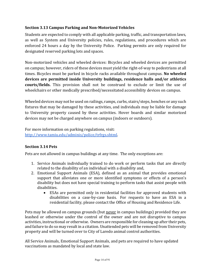# **Section 3.13 Campus Parking and Non-Motorized Vehicles**

Students are expected to comply with all applicable parking, traffic, and transportation laws, as well as System and University policies, rules, regulations, and procedures which are enforced 24 hours a day by the University Police. Parking permits are only required for designated reserved parking lots and spaces.

Non-motorized vehicles and wheeled devices: Bicycles and wheeled devices are permitted on campus; however, riders of these devices must yield the right-of-way to pedestrians at all times. Bicycles must be parked in bicycle racks available throughout campus. No wheeled devices are permitted inside University buildings, residence halls and/or athletics courts/fields. This provision shall not be construed to exclude or limit the use of wheelchairs or other medically prescribed/necessitated accessibility devices on campus.

Wheeled devices may not be used on railings, ramps, curbs, stairs/steps, benches or any such fixtures that may be damaged by these activities, and individuals may be liable for damage to University property caused by these activities. Hover boards and similar motorized devices may not be charged anywhere on campus (indoors or outdoors).

For more information on parking regulations, visit: <http://www.tamiu.edu/adminis/police/trfrgs.shtml>.

# **Section 3.14 Pets**

Pets are not allowed in campus buildings at any time. The only exceptions are:

- 1. Service Animals individually trained to do work or perform tasks that are directly related to the disability of an individual with a disability and,
- 2. Emotional Support Animals (ESA), defined as an animal that provides emotional support that alleviates one or more identified symptoms or effects of a person's disability but does not have special training to perform tasks that assist people with disabilities.
	- ESAs are permitted only in residential facilities for approved students with disabilities on a case-by-case basis. For requests to have an ESA in a residential facility, please contact the Office of Housing and Residence Life.

Pets may be allowed on campus grounds (but never in campus buildings) provided they are leashed or otherwise under the control of the owner and are not disruptive to campus activities, instructional or otherwise. Owners are responsible for cleaning up after their pets, and failure to do so may result in a citation. Unattended pets will be removed from University property and will be turned over to City of Laredo animal control authorities.

All Service Animals, Emotional Support Animals, and pets are required to have updated vaccinations as mandated by local and state law.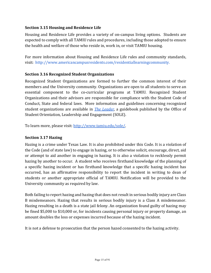## **Section 3.15 Housing and Residence Life**

Housing and Residence Life provides a variety of on-campus living options. Students are expected to comply with all TAMIU rules and procedures, including those adopted to ensure the health and welfare of those who reside in, work in, or visit TAMIU housing.

For more information about Housing and Residence Life rules and community standards, visit: http://www.americancampusresidents.com/residentiallearningcommunity.

### **Section 3.16 Recognized Student Organizations**

Recognized Student Organizations are formed to further the common interest of their members and the University community. Organizations are open to all students to serve an essential component to the co-curricular programs at TAMIU. Recognized Student Organizations and their advisors are responsible for compliance with the Student Code of Conduct, State and federal laws. More information and guidelines concerning recognized student organizations are available in *The Leader*, a guidebook published by the Office of Student Orientation, Leadership and Engagement (SOLE).

To learn more, please visit: [http://www.tamiu.edu/sole/.](http://www.tamiu.edu/sole/)

### **Section 3.17 Hazing**

Hazing is a crime under Texas Law. It is also prohibited under this Code. It is a violation of the Code (and of state law) to engage in hazing, or to otherwise solicit, encourage, direct, aid or attempt to aid another in engaging in hazing. It is also a violation to recklessly permit hazing by another to occur. A student who receives firsthand knowledge of the planning of a specific hazing incident or has firsthand knowledge that a specific hazing incident has occurred, has an affirmative responsibility to report the incident in writing to dean of students or another appropriate official of TAMIU. Notification will be provided to the University community as required by law.

Both failing to report hazing and hazing that does not result in serious bodily injury are Class B misdemeanors. Hazing that results in serious bodily injury is a Class A misdemeanor. Hazing resulting in a death is a state jail felony. An organization found guilty of hazing may be fined \$5,000 to \$10,000 or, for incidents causing personal injury or property damage, an amount doubles the loss or expenses incurred because of the hazing incident.

It is not a defense to prosecution that the person hazed consented to the hazing activity.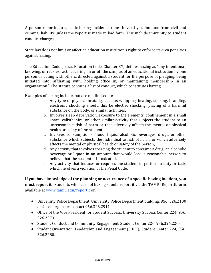A person reporting a specific hazing incident to the University is immune from civil and criminal liability unless the report is made in bad faith. This include immunity to student conduct charges.

State law does not limit or affect an education institution's right to enforce its own penalties against hazing.

The Education Code (Texas Education Code, Chapter 37) defines hazing as "any intentional, knowing, or reckless act occurring on or off the campus of an educational institution by one person or acting with others, directed against a student for the purpose of pledging, being initiated into, affiliating with, holding office in, or maintaining membership in an organization." The statute contains a list of conduct, which constitutes hazing.

Examples of hazing include, but are not limited to:

- a. Any type of physical brutality such as whipping, beating, striking, branding, electronic shocking should this be electric shocking, placing of a harmful substance on the body, or similar activities;
- b. Involves sleep deprivation, exposure to the elements, confinement in a small space, calisthenics, or other similar activity that subjects the student to an unreasonable risk of harm or that adversely affects the mental or physical health or safety of the student;
- c. Involves consumption of food, liquid, alcoholic beverages, drugs, or other substance which subjects the individual to risk of harm, or which adversely affects the mental or physical health or safety of the person;
- d. Any activity that involves coercing the student to consume a drug; an alcoholic beverage or liquor in an amount that would lead a reasonable person to believe that the student is intoxicated.
- e. Any activity that induces or requires the student to perform a duty or task, which involves a violation of the Penal Code.

**If you have knowledge of the planning or occurrence of a specific hazing incident, you must report it.** Students who learn of hazing should report it via the TAMIU ReportIt form available at [www.tamiu.edu/reportit](http://www.tamiu.edu/reportit) or:

- University Police Department, University Police Department building, 956. 326.2100 or for emergencies contact 956.326.2911
- Office of the Vice President for Student Success, University Success Center 224, 956. 326.2273
- Student Conduct and Community Engagement, Student Center 226, 956.326.2265
- Student Orientation, Leadership and Engagement (SOLE), Student Center 224, 956. 326.2280.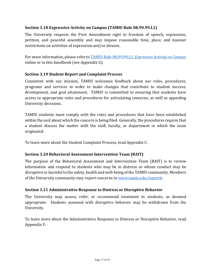## **Section 3.18 Expressive Activity on Campus (TAMIU Rule 08.99.99.L1)**

The University respects the First Amendment right to freedom of speech, expression, petition, and peaceful assembly and may impose reasonable time, place, and manner restrictions on activities of expression and/or dissent.

For more information, please refer to **TAMIU** Rule 08.99.99.L1, *Expressive Activity on Campus* online or in this handbook (see Appendix G).

### **Section 3.19 Student Report and Complaint Process**

Consistent with our mission, TAMIU welcomes feedback about our rules, procedures, programs and services in order to make changes that contribute to student success, development, and goal attainment. TAMIU is committed to ensuring that students have access to appropriate rules and procedures for articulating concerns, as well as appealing University decisions.

TAMIU students must comply with the rules and procedures that have been established within the unit about which the concern is being filed. Generally, the procedures require that a student discuss the matter with the staff, faculty, or department in which the issue originated.

To learn more about the Student Complaint Process, read Appendix C.

# **Section 3.20 Behavioral Assessment Intervention Team (BAIT)**

The purpose of the Behavioral Assessment and Intervention Team (BAIT) is to review information and respond to students who may be in distress or whose conduct may be disruptive or harmful to the safety, health and well-being of the TAMIU community. Members of the University community may report concerns to www.tamiu.edu/reportit.

# **Section 3.21 Administrative Response to Distress or Disruptive Behavior**

The University may assess, refer, or recommend treatment to students, as deemed appropriate. Students assessed with disruptive behavior may be withdrawn from the University. 

To learn more about the Administrative Response to Distress or Disruptive Behavior, read Appendix F.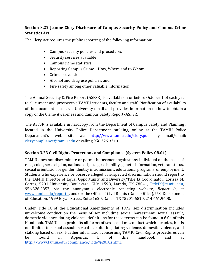# **Section 3.22 Jeanne Clery Disclosure of Campus Security Policy and Campus Crime Statistics Act**

The Clery Act requires the public reporting of the following information:

- Campus security policies and procedures
- Security services available
- Campus crime statistics
- Reporting Campus Crime How, Where and to Whom
- Crime prevention
- Alcohol and drug use policies, and
- Fire safety among other valuable information.

The Annual Security & Fire Report (ASFSR) is available on or before October 1 of each year to all current and prospective TAMIU students, faculty and staff. Notification of availability of the document is sent via University email and provides information on how to obtain a copy of the Crime Awareness and Campus Safety Report/ASFSR.

The ASFSR is available in hardcopy from the Department of Campus Safety and Planning, located in the University Police Department building, online at the TAMIU Police Department's web site at: http://www.tamiu.edu/clery.pdf, by mail/email: clerycompliance@tamiu.edu or calling 956.326.3310.

# **Section 3.23 Civil Rights Protections and Compliance (System Policy 08.01)**

TAMIU does not discriminate or permit harassment against any individual on the basis of race, color, sex, religion, national origin, age, disability, genetic information, veteran status, sexual orientation or gender identity in admissions, educational programs, or employment. Students who experience or observe alleged or suspected discrimination should report to the TAMIU Director of Equal Opportunity and Diversity/Title IX Coordinator, Lorissa M. Cortez, 5201 University Boulevard, KLM 159B, Laredo, TX 78041, TitleIX@tamiu.edu, 956.326.2857, via the anonymous electronic reporting website, *Report It*, at www.tamiu.edu/reportit, and/or the Office of Civil Rights (Dallas Office), U.S. Department of Education, 1999 Bryan Street, Suite 1620, Dallas, TX 75201-6810, 214.661.9600.

Under Title IX of the Educational Amendments of 1972, sex discrimination includes unwelcome conduct on the basis of sex including sexual harassment, sexual assault, domestic violence, dating violence; definitions for these terms can be found in 6.04 of this Handbook. TAMIU also prohibits all forms of sex-based misconduct which includes, but is not limited to sexual assault, sexual exploitation, dating violence, domestic violence, and stalking based on sex. Further information concerning TAMIU Civil Rights procedures can be found in Appendix E of this handbook and at http://www.tamiu.edu/compliance/Title%20IX.shtml.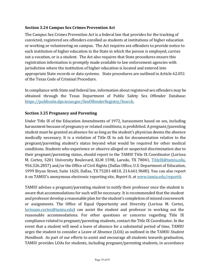### **Section 3.24 Campus Sex Crimes Prevention Act**

The Campus Sex Crimes Prevention Act is a federal law that provides for the tracking of convicted, registered sex offenders enrolled as students at institutions of higher education or working or volunteering on campus. The Act requires sex offenders to provide notice to each institution of higher education in the State in which the person is employed, carries out a vocation, or is a student. The Act also requires that State procedures ensure this registration information is promptly made available to law enforcement agencies with jurisdiction where the institution of higher education is located and entered into appropriate State records or data systems. State procedures are outlined in Article 62.051 of the Texas Code of Criminal Procedure.

In compliance with State and federal law, information about registered sex offenders may be obtained through the Texas Department of Public Safety Sex Offender Database: https://publicsite.dps.texas.gov/SexOffenderRegistry/Search. 

### **Section 3.25 Pregnancy and Parenting**

Under Title IX of the Education Amendments of 1972, harassment based on sex, including harassment because of pregnancy or related conditions, is prohibited. A pregnant/parenting student must be granted an absence for as long as the student's physician deems the absence medically necessary. It is a violation of Title IX to ask for documentation relative to the pregnant/parenting student's status beyond what would be required for other medical conditions. Students who experience or observe alleged or suspected discrimination due to their pregnant/parenting status, should report to the TAMIU Title IX Coordinator (Lorissa M. Cortez, 5201 University Boulevard, KLM 159B, Laredo, TX 78041, TitleIX@tamiu.edu, 956.326.2857) and/or the Office of Civil Rights (Dallas Office, U.S. Department of Education, 1999 Bryan Street, Suite 1620, Dallas, TX 75201-6810, 214.661.9600). You can also report it on TAMIU's anonymous electronic reporting site, *Report It*, at www.tamiu.edu/reportit.

TAMIU advises a pregnant/parenting student to notify their professor once the student is aware that accommodations for such will be necessary. It is recommended that the student and professor develop a reasonable plan for the student's completion of missed coursework or assignments. The Office of Equal Opportunity and Diversity (Lorissa M. Cortez, lorissam.cortez@tamiu.edu) can assist the student and professor in working out the reasonable accommodations. For other questions or concerns regarding Title IX compliance related to pregnant/parenting students, contact the Title IX Coordinator. In the event that a student will need a leave of absence for a substantial period of time, TAMIU urges the student to consider a Leave of Absence (LOA) as outlined in the TAMIU *Student Handbook*. As part of our efforts to assist and encourage all students towards graduation, TAMIU provides LOAs for students, including pregnant/parenting students, in accordance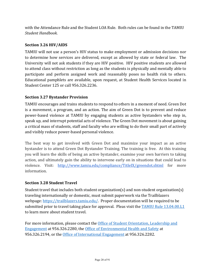with the Attendance Rule and the Student LOA Rule. Both rules can be found in the TAMIU *Student Handbook*.

### Section 3.26 HIV/AIDS

TAMIU will not use a person's HIV status to make employment or admission decisions nor to determine how services are delivered, except as allowed by state or federal law. The University will not ask students if they are HIV positive. HIV positive students are allowed to attend class without restriction as long as the students is physically and mentally able to participate and perform assigned work and reasonably poses no health risk to others. Educational pamphlets are available, upon request, at Student Health Services located in Student Center 125 or call 956.326.2236.

### **Section 3.27 Bystander Provision**

TAMIU encourages and trains students to respond to others in a moment of need. Green Dot is a movement, a program, and an action. The aim of Green Dot is to prevent and reduce power-based violence at TAMIU by engaging students as active bystanders who step in, speak up, and interrupt potential acts of violence. The Green Dot movement is about gaining a critical mass of students, staff and faculty who are willing to do their small part of actively and visibly reduce power-based personal violence.

The best way to get involved with Green Dot and maximize your impact as an active bystander is to attend Green Dot Bystander Training. The training is free. At this training you will learn the skills of being an active bystander, examine your own barriers to taking action, and ultimately gain the ability to intervene early on in situations that could lead to violence. Visit: http://www.tamiu.edu/compliance/TitleIX/greendot.shtml for more information.

#### **Section 3.28 Student Travel**

Student travel that includes both student organization(s) and non-student organization(s) traveling internationally or domestic, must submit paperwork via the Trailblazers webpage:  $\frac{https://trailblazers.tamiu.edu/}{https://trailblazers.tamiu.edu/}.$  Proper documentation will be required to be submitted prior to travel taking place for approval. Pleas visit the  $TAMIU$  Rule  $13.04.00.L1$ to learn more about student travel.

For more information, please contact the Office of Student Orientation, Leadership and Engagement at 956.326.2280, the Office of Environmental Health and Safety at 956.326.2194, or the Office of International Engagement at 956.326.2282.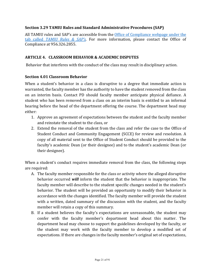### **Section 3.29 TAMIU Rules and Standard Administrative Procedures (SAP)**

All TAMIU rules and SAP's are accessible from the Office of Compliance webpage under the tab called *TAMIU Rules & SAP's*. For more information, please contact the Office of Compliance at 956.326.2855.

### **ARTICLE 4. CLASSROOM BEHAVIOR & ACADEMIC DISPUTES**

Behavior that interferes with the conduct of the class may result in disciplinary action.

#### **Section 4.01 Classroom Behavior**

When a student's behavior in a class is disruptive to a degree that immediate action is warranted, the faculty member has the authority to have the student removed from the class on an interim basis. Contact PD should faculty member anticipate physical defiance. A student who has been removed from a class on an interim basis is entitled to an informal hearing before the head of the department offering the course. The department head may either:

- 1. Approve an agreement of expectations between the student and the faculty member and reinstate the student to the class, or
- 2. Extend the removal of the student from the class and refer the case to the Office of Student Conduct and Community Engagement (SCCE) for review and resolution. A copy of all material sent to the Office of Student Conduct should be provided to the faculty's academic Dean (or their designee) and to the student's academic Dean (or their designee).

When a student's conduct requires immediate removal from the class, the following steps are required:

- A. The faculty member responsible for the class or activity where the alleged disruptive behavior occurred *will* inform the student that the behavior is inappropriate. The faculty member will describe to the student specific changes needed in the student's behavior. The student will be provided an opportunity to modify their behavior in accordance with the changes identified. The faculty member will provide the student with a written, dated summary of the discussion with the student, and the faculty member will retain a copy of this summary.
- B. If a student believes the faculty's expectations are unreasonable, the student may confer with the faculty member's department head about this matter. The department head may choose to support the guidelines developed by the faculty, or the student may work with the faculty member to develop a modified set of expectations. If there are changes in the faculty member's original set of expectations,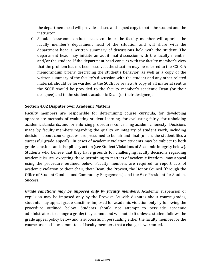the department head will provide a dated and signed copy to both the student and the instructor.

C. Should classroom conduct issues continue, the faculty member will apprise the faculty member's department head of the situation and will share with the department head a written summary of discussions held with the student. The department head may initiate an additional discussion with the faculty member and/or the student. If the department head concurs with the faculty member's view that the problem has not been resolved, the situation may be referred to the SCCE. A memorandum briefly describing the student's behavior, as well as a copy of the written summary of the faculty's discussion with the student and any other related material, should be forwarded to the SCCE for review. A copy of all material sent to the SCCE should be provided to the faculty member's academic Dean (or their designee) and to the student's academic Dean (or their designee).

# **Section 4.02 Disputes over Academic Matters**

Faculty members are responsible for determining course curricula, for developing appropriate methods of evaluating student learning, for evaluating fairly, for upholding academic standards, and for enforcing procedures concerning academic honesty. Decisions made by faculty members regarding the quality or integrity of student work, including decisions about course grades, are presumed to be fair and final (unless the student files a successful grade appeal). In cases of academic violation students may be subject to both grade sanctions and disciplinary action (see Student Violations of Academic Integrity below). Students who believe that they have grounds for challenging faculty decisions regarding academic issues--excepting those pertaining to matters of academic freedom--may appeal using the procedure outlined below. Faculty members are required to report acts of academic violation to their chair, their Dean, the Provost, the Honor Council (through the Office of Student Conduct and Community Engagement), and the Vice President for Student Success.

*Grade sanctions may be imposed only by faculty members.* Academic suspension or expulsion may be imposed only by the Provost. As with disputes about course grades, students may appeal grade sanctions imposed for academic violation only by following the procedure outlined below. Students should not attempt to persuade academic administrators to change a grade; they cannot and will not do it unless a student follows the grade appeal policy below and is successful in persuading either the faculty member for the course or an ad-hoc committee of faculty members that a change is warranted.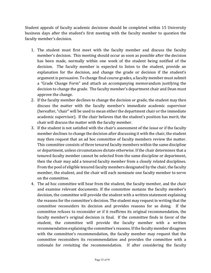Student appeals of faculty academic decisions should be completed within 15 University business days after the student's first meeting with the faculty member to question the faculty member's decision.

- 1. The student must first meet with the faculty member and discuss the faculty member's decision. This meeting should occur as soon as possible after the decision has been made, normally within one week of the student being notified of the decision. The faculty member is expected to listen to the student, provide an explanation for the decision, and change the grade or decision if the student's argument is persuasive. To change final course grades, a faculty member must submit a "Grade Change Form" and attach an accompanying memorandum justifying the decision to change the grade. The faculty member's department chair and Dean must approve the change.
- 2. If the faculty member declines to change the decision or grade, the student may then discuss the matter with the faculty member's immediate academic supervisor (hereafter, "chair" will be used to mean either the department chair or the immediate academic supervisor). If the chair believes that the student's position has merit, the chair will discuss the matter with the faculty member.
- 3. If the student is not satisfied with the chair's assessment of the issue or if the faculty member declines to change the decision after discussing it with the chair, the student may then request that an ad hoc committee of faculty members review the matter. This committee consists of three tenured faculty members within the same discipline or department, unless circumstances dictate otherwise. If the chair determines that a tenured faculty member cannot be selected from the same discipline or department, then the chair may add a tenured faculty member from a closely related disciplines. From the pool of eligible tenured faculty members designated by the chair, the faculty member, the student, and the chair will each nominate one faculty member to serve on the committee.
- 4. The ad hoc committee will hear from the student, the faculty member, and the chair and examine relevant documents. If the committee sustains the faculty member's decision, the committee will provide the student with a written statement explaining the reasons for the committee's decision. The student may request in writing that the committee reconsiders its decision and provides reasons for so doing. If the committee refuses to reconsider or if it reaffirms its original recommendation, the faculty member's original decision is final. If the committee finds in favor of the student, the committee will provide the faculty member with a written recommendation explaining the committee's reasons. If the faculty member disagrees with the committee's recommendation, the faculty member may request that the committee reconsiders its recommendation and provides the committee with a rationale for revisiting the recommendation. If after considering the faculty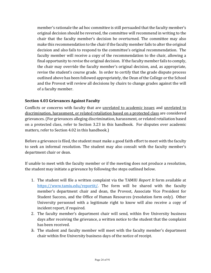member's rationale the ad hoc committee is still persuaded that the faculty member's original decision should be reversed, the committee will recommend in writing to the chair that the faculty member's decision be overturned. The committee may also make this recommendation to the chair if the faculty member fails to alter the original decision and also fails to respond to the committee's original recommendation. The faculty member will receive a copy of the recommendation to the chair, allowing a final opportunity to revise the original decision. If the faculty member fails to comply, the chair may override the faculty member's original decision, and, as appropriate, revise the student's course grade. In order to certify that the grade dispute process outlined above has been followed appropriately, the Dean of the College or the School and the Provost will review all decisions by chairs to change grades against the will of a faculty member.

# **Section 4.03 Grievances Against Faculty**

Conflicts or concerns with faculty that are unrelated to academic issues and unrelated to discrimination, harassment, or related retaliation based on a protected class are considered grievances. (For grievances alleging discrimination, harassment, or related retaliation based on a protected class, refer to Section 3.23 in this handbook. For disputes over academic matters, refer to Section 4.02 in this handbook.)

Before a grievance is filed, the student must make a good faith effort to meet with the faculty to seek an informal resolution. The student may also consult with the faculty member's department chair or dean.

If unable to meet with the faculty member or if the meeting does not produce a resolution, the student may initiate a grievance by following the steps outlined below.

- 1. The student will file a written complaint via the TAMIU *Report It* form available at [https://www.tamiu.edu/reportit/.](https://www.tamiu.edu/reportit/) The form will be shared with the faculty member's department chair and dean, the Provost, Associate Vice President for Student Success, and the Office of Human Resources (resolution form only). Other University personnel with a legitimate right to know will also receive a copy of incident report, if required.
- 2. The faculty member's department chair will send, within five University business days after receiving the grievance, a written notice to the student that the complaint has been received.
- 3. The student and faculty member will meet with the faculty member's department chair within five University business days of the notice of receipt.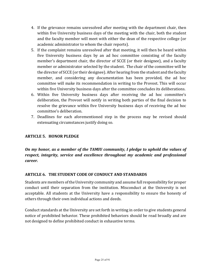- 4. If the grievance remains unresolved after meeting with the department chair, then within five University business days of the meeting with the chair, both the student and the faculty member will meet with either the dean of the respective college (or academic administrator to whom the chair reports).
- 5. If the complaint remains unresolved after that meeting, it will then be heard within five University business days by an ad hoc committee consisting of the faculty member's department chair, the director of SCCE (or their designee), and a faculty member or administrator selected by the student. The chair of the committee will be the director of SCCE (or their designee). After hearing from the student and the faculty member, and considering any documentation has been provided, the ad hoc committee will make its recommendation in writing to the Provost. This will occur within five University business days after the committee concludes its deliberations.
- 6. Within five University business days after receiving the ad hoc committee's deliberation, the Provost will notify in writing both parties of the final decision to resolve the grievance within five University business days of receiving the ad hoc committee's deliberation.
- 7. Deadlines for each aforementioned step in the process may be revised should extenuating circumstances justify doing so.

## **ARTICLE 5. HONOR PLEDGE**

On my honor, as a member of the TAMIU community, I pledge to uphold the values of *respect, integrity, service and excellence throughout my academic and professional career.*

#### **ARTICLE 6. THE STUDENT CODE OF CONDUCT AND STANDARDS**

Students are members of the University community and assume full responsibility for proper conduct until their separation from the institution. Misconduct at the University is not acceptable. All students at the University have a responsibility to ensure the honesty of others through their own individual actions and deeds.

Conduct standards at the University are set forth in writing in order to give students general notice of prohibited behavior. These prohibited behaviors should be read broadly and are not designed to define prohibited conduct in exhaustive terms.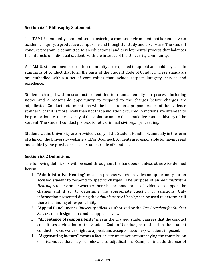## **Section 6.01 Philosophy Statement**

The TAMIU community is committed to fostering a campus environment that is conducive to academic inquiry, a productive campus life and thoughtful study and disclosure. The student conduct program is committed to an educational and developmental process that balances the interests of individual students with the interest of the University community.

At TAMIU, student members of the community are expected to uphold and abide by certain standards of conduct that form the basis of the Student Code of Conduct. These standards are embodied within a set of core values that include respect, integrity, service and excellence.

Students charged with misconduct are entitled to a fundamentally fair process, including notice and a reasonable opportunity to respond to the charges before charges are adjudicated. Conduct determinations will be based upon a preponderance of the evidence standard; that it is more likely than not that a violation occurred. Sanctions are intended to be proportionate to the severity of the violation and to the cumulative conduct history of the student. The student conduct process is not a criminal civil legal proceeding.

Students at the University are provided a copy of the Student Handbook annually in the form of a link on the University website and/or Uconnect. Students are responsible for having read and abide by the provisions of the Student Code of Conduct.

#### **Section 6.02 Definitions**

The following definitions will be used throughout the handbook, unless otherwise defined herein.

- 1. "**Administrative Hearing**" means a process which provides an opportunity for an accused *student* to respond to specific charges. The purpose of an *Administrative Hearing* is to determine whether there is a preponderance of evidence to support the charges and if so, to determine the appropriate *sanction* or sanctions. Only information presented during the *Administrative Hearing* can be used to determine if there is a finding of responsibility.
- 2. "Appeal Panel" means *University officials* authorized by the Vice President for Student *Success* or a designee to conduct appeal reviews.
- 3. **"Acceptance of responsibility"** means the charged student agrees that the conduct constitutes a violation of the Student Code of Conduct, as outlined in the student conduct notice, waives right to appeal, and accepts outcomes/sanctions imposed.
- 4. **"Aggravating factors"** means a fact or circumstance accompanying the commission of misconduct that may be relevant to adjudication. Examples include the use of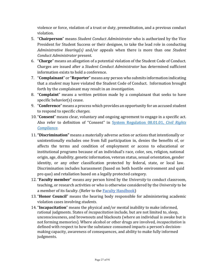violence or force, violation of a trust or duty, premeditation, and a previous conduct violation.

- 5. "**Chairperson**" means *Student Conduct Administrator* who is authorized by the Vice President for Student Success or their designee, to take the lead role in conducting *Administrative Hearing(s)* and/or appeals when there is more than one *Student Conduct Administrator* present.
- 6. "Charge" means an allegation of a potential violation of the Student Code of Conduct. Charges are issued after a *Student Conduct Administrator* has determined sufficient information exists to hold a conference.
- 7. "**Complainant**" or "**Reporter**" means any person who submits information indicating that a *student* may have violated the Student Code of Conduct. Information brought forth by the complainant may result in an *investigation*.
- 8. "**Complaint**" means a written petition made by a complainant that seeks to have specific behavior(s) cease.
- 9. "**Conference**" means a process which provides an opportunity for an accused student to respond to specific *charges*.
- 10. "**Consent**" means clear, voluntary and ongoing agreement to engage in a specific act. Also refer to definition of "Consent" in System Regulation 08.01.01, *Civil Rights Compliance*.
- 11. "Discrimination" means a materially adverse action or actions that intentionally or unintentionally excludes one from full participation in, denies the benefits of, or affects the terms and condition of employment or access to educational or institutional programs because of an individual's race, color, sex, religion, national origin, age, disability, genetic information, veteran status, sexual orientation, gender identity, or any other classification protected by federal, state, or local law. Discrimination includes harassment (based on both hostile environment and quid pro quo) and retaliation based on a legally protected category.
- 12. "**Faculty member**" means any person hired by the *University* to conduct classroom, teaching, or research activities or who is otherwise considered by the *University* to be a member of its faculty. (Refer to the **Faculty Handbook**)
- 13. "**Honor Council**" means the hearing body responsible for administering academic violation cases involving *students*.
- 14. "**Incapacitation**" means the physical and/or mental inability to make informed, rational judgments. States of *incapacitation* include, but are not limited to, sleep, unconsciousness, and brownouts and blackouts (where an individual is awake but is not forming memories). Where alcohol or other drugs are involved, *incapacitation* is defined with respect to how the substance consumed impacts a person's decisionmaking capacity, awareness of consequences, and ability to make fully informed judgments.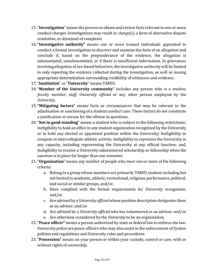- 15. "Investigation" means the process to obtain and review facts relevant to one or more conduct charges. Investigations may result in *charge(s)*, a form of alternative dispute resolution, or dismissal of complaint.
- 16. "Investigative authority" means one or more trained individuals appointed to conduct a formal investigation to discover and examine the facts of an allegation and conclude if, based on the preponderance of the evidence, the allegation is substantiated, unsubstantiated, or if there is insufficient information. In grievances involving allegation of sex-based behaviors, the investigative authority will be limited to only reporting the evidence collected during the investigation, as well as issuing appropriate determination surrounding credibility of witnesses and evidence.
- 17. "**Institution**" or "**University**" means TAMIU.
- 18. "**Member of the University community**" includes any person who is a *student*, *faculty member, staff, University official* or any other person employed by the *University*.
- 19. "Mitigating factors" means facts or circumstances that may be relevant to the adjudication or sanctioning of a student conduct case. These factors do not constitute a justification or excuse for the offense in questions.
- 20. "**Not in good standing**" means a student who is subject to the following restrictions: ineligibility to hold an office in any student organization recognized by the University or to hold any elected or appointed position within the University; Ineligibility to compete in intercollegiate athletic activity; ineligibility to represent the University in any capacity, including representing the University at any official function; and, ineligibility to receive a University-administered scholarship or fellowship when the sanction is in place for longer than one semester.
- 21. "Organization" means any number of people who meet one or more of the following criteria:
	- a. Belong to a group whose members are primarily TAMIU *students* including but not limited to academic, athletic, recreational, religious, performance, political, and social or similar groups, and/or,
	- b. Have complied with the formal requirements for *University* recognition, and/or
	- c. Are advised by a *University official* whose position description designates them as an advisor, and/or
	- d. Are advised by a *University official* who has volunteered as an advisor, and/or
	- e. Are otherwise considered by the *University* to be an organization.
- 22. "Peace officer" means a person authorized by state or federal law to enforce the law. University police are peace officers who may also assist in the enforcement of System policies and regulations and University rules and procedures.
- 23. **"Possession"** means on your person or within your custody, control or care, with or without rights of ownership.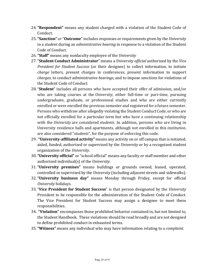- 24. "Respondent" means any student charged with a violation of the Student Code of Conduct.
- 25. "Sanction" or "Outcome" includes responses or requirements given by the *University* to a *student* during an *administrative hearing* in response to a violation of the Student Code of Conduct.
- 26. "Staff" means any nonfaculty employee of the *University*
- 27. "**Student Conduct Administrator**" means a *University official* authorized by the *Vice President for Student Success* (or their designee) to collect information, to initiate *charge* letters, present charges in conferences, present information to support *charges*, to conduct *administrative hearings*, and to impose *sanctions* for violations of the Student Code of Conduct.
- 28. "**Student**" includes all persons who have accepted their offer of admission, and/or who are taking courses at the *University*, either full-time or part-time, pursuing undergraduate, graduate, or professional studies and who are either currently enrolled or were enrolled the previous semester and registered for a future semester. Persons who withdraw after allegedly violating the Student Conduct Code, or who are not officially enrolled for a particular term but who have a continuing relationship with the *University* are considered *students*. In addition, persons who are living in University residence halls and apartments, although not enrolled in this *institution*, are also considered "*students*", for the purpose of enforcing this code.
- 29. **"University-affiliated activity"** means any activity on or off campus that is initiated, aided, funded, authorized or supervised by the *University* or by a recognized student organization of the *University*.
- 30. "University official" or "school official" means any faculty or staff member and other authorized individual(s) of the *University*.
- 31. "University premises" means buildings or grounds owned, leased, operated, controlled or supervised by the *University* (including adjacent streets and sidewalks).
- 32. "University business day" means Monday through Friday, except for official *University* holidays.
- 33. "Vice President for Student Success" is that person designated by the *University* President to be responsible for the administration of the Student Code of Conduct. The Vice President for Student Success may assign a designee to meet these responsibilities.
- 34. "Violation" encompasses those prohibited behavior contained in, but not limited to, the Student Handbook. These violations should be read broadly and are not designed to define prohibited conduct in exhausted terms.
- 35. **"Witness"** means any individual who may have information relating to a *complaint*.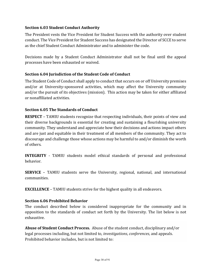## **Section 6.03 Student Conduct Authority**

The President vests the Vice President for Student Success with the authority over student conduct. The Vice President for Student Success has designated the Director of SCCE to serve as the chief Student Conduct Administrator and to administer the code.

Decisions made by a Student Conduct Administrator shall not be final until the appeal processes have been exhausted or waived.

### **Section 6.04 Jurisdiction of the Student Code of Conduct**

The Student Code of Conduct shall apply to conduct that occurs on or off University premises and/or at University-sponsored activities, which may affect the University community and/or the pursuit of its objectives (mission). This action may be taken for either affiliated or nonaffiliated activities.

### **Section 6.05 The Standards of Conduct**

**RESPECT** – TAMIU students recognize that respecting individuals, their points of view and their diverse backgrounds is essential for creating and sustaining a flourishing university community. They understand and appreciate how their decisions and actions impact others and are just and equitable in their treatment of all members of the community. They act to discourage and challenge those whose actions may be harmful to and/or diminish the worth of others.

**INTEGRITY** - TAMIU students model ethical standards of personal and professional behavior.

**SERVICE** – TAMIU students serve the University, regional, national, and international communities.

**EXCELLENCE** – TAMIU students strive for the highest quality in all endeavors.

#### **Section 6.06 Prohibited Behavior**

The conduct described below is considered inappropriate for the community and in opposition to the standards of conduct set forth by the University. The list below is not exhaustive.

**Abuse of Student Conduct Process.** Abuse of the student conduct, disciplinary and/or legal processes including, but not limited to, *investigations*, *conferences*, and appeals. Prohibited behavior includes, but is not limited to: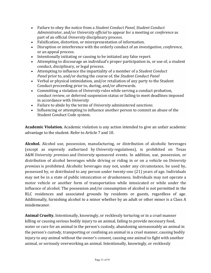- Failure to obey the notice from a *Student Conduct Panel*, *Student Conduct Administrator*, and/or *University official* to appear for a meeting or *conference* as part of an official *University* disciplinary process.
- Falsification, distortion, or misrepresentation of information.
- Disruption or interference with the orderly conduct of an *investigation*, *conference*, or an appeal process.
- Intentionally initiating or causing to be initiated any false report.
- Attempting to discourage an individual's proper participation in, or use of, a student conduct, disciplinary, or legal process.
- Attempting to influence the impartiality of a member of a *Student Conduct Panel* prior to, and/or during the course of, the *Student Conduct Panel*
- Verbal or physical intimidation, and/or retaliation of any party to the Student Conduct proceeding prior to, during, and/or afterwards.
- Committing a violation of *University* rules while serving a conduct probation, conduct review, or deferred suspension status or failing to meet deadlines imposed in accordance with *University*
- Failure to abide by the terms of *University* administered *sanctions*.
- Influencing or attempting to influence another person to commit an abuse of the Student Conduct Code system.

**Academic Violation.** Academic violation is any action intended to give an unfair academic advantage to the student. Refer to Article 7 and 10.

**Alcohol.** Alcohol use, possession, manufacturing, or distribution of alcoholic beverages (except as expressly authorized by *University* regulations), is prohibited on Texas A&M *University premises* and *University* sponsored events. In addition, use, possession, or distribution of alcohol beverages while driving or riding in or on a vehicle on *University premises* is prohibited. Alcoholic beverages may not, under any circumstance, be used by, possessed by, or distributed to any person under twenty-one (21) years of age. Individuals may not be in a state of public intoxication or drunkenness. Individuals may not operate a motor vehicle or another form of transportation while intoxicated or while under the influence of alcohol. The possession and/or consumption of alcohol is not permitted in the RLC residences and associated grounds by residents or guests, regardless of age. Additionally, furnishing alcohol to a minor whether by an adult or other minor is a Class A misdemeanor. 

**Animal Cruelty.** Intentionally, knowingly, or recklessly torturing or in a cruel manner killing or causing serious bodily injury to an animal, failing to provide necessary food, water or care for an animal in the person's custody, abandoning unreasonably an animal in the person's custody, transporting or confining an animal in a cruel manner, causing bodily injury to any animal without the owner's *consent*, causing one animal to fight with another animal, or seriously overworking an animal. Intentionally, knowingly, or recklessly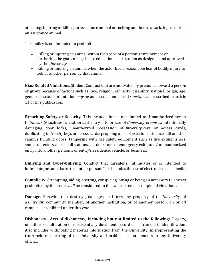attacking, injuring or killing an assistance animal or inciting another to attack, injure or kill an assistance animal.

This policy is not intended to prohibit:

- Killing or injuring an animal within the scope of a person's employment or furthering the goals of legitimate educational curriculum as designed and approved by the *University*.
- Killing or injuring an animal when the actor had a reasonable fear of bodily injury to self or another person by that animal.

**Bias-Related Violations.** Student Conduct that are motivated by prejudice toward a person or group because of factors such as race, religion, ethnicity, disability, national origin, age, gender or sexual orientation *may* be assessed an enhanced *sanction* as prescribed in article 11 of this publication.

**Breaching Safety or Security**. This includes but is not limited to: Unauthorized access to *University* facilities; unauthorized entry into or use of *University premises*; intentionally damaging door locks; unauthorized possession of *University* keys or access cards; duplicating *University* keys or access cards; propping open of exterior residence hall or other campus building doors; tampering with fire safety equipment such as fire extinguishers, smoke detectors, alarm pull stations, gas detectors, or emergency exits; and/or unauthorized entry into another person's or entity's residence, vehicle, or business.

**Bullying and Cyber-bullying.** Conduct that threatens, intimidates or is intended to intimidate, or cause harm to another person. This includes the use of electronic/social media.

**Complicity.** Attempting, aiding, abetting, conspiring, hiring or being an accessory to any act prohibited by this code *shall* be considered to the same extent as completed violations.

**Damage.** Behavior that destroys, damages, or litters any property of the *University*, of a *University* community member, of another institution, or of another person, on or off campus is prohibited under this *rule*.

**Dishonesty.** Acts of dishonesty, including but not limited to the following: Forgery, unauthorized alteration or misuse of any document, record or instrument of identification. Also includes withholding material information from the University, misrepresenting the truth before a hearing of the University and making false statements to any University official.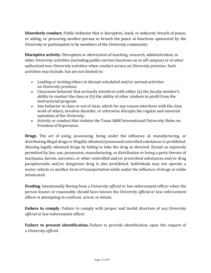**Disorderly conduct.** Public behavior that is disruptive, lewd, or indecent; breach of peace; or aiding, or procuring another person to breach the peace at functions sponsored by the *University* or participated in by members of the *University* community.

**Disruptive activity.** Disruption or obstruction of teaching, research, administration, or other *University* activities (including public-service functions on or off campus) or of other authorized non-*University* activities when conduct occurs on *University premises*. Such activities *may* include, but are not limited to:

- Leading or inciting others to disrupt scheduled and/or normal activities on *University premises*.
- Classroom behavior that seriously interferes with either (a) the *faculty member's* ability to conduct the class or (b) the ability of other *students* to profit from the instructional program.
- Any behavior in class or out of class, which for any reason interferes with the class work of others, involves disorder, or otherwise disrupts the regular and essential operation of the *University*.
- Activity or conduct that violates the Texas A&M International University Rules on Freedom of Expression.

**Drugs.** The act of using, possessing, being under the influence of, manufacturing, or distributing illegal drugs or illegally obtained/possessed controlled substances is prohibited. Abusing legally obtained drugs by failing to take the drug as directed. Except as expressly permitted by law, use, possession, manufacturing, or distribution or being a party thereto of marijuana, heroin, narcotics, or other controlled and/or prescribed substances and/or drug paraphernalia and/or dangerous drug is also prohibited. Individuals may not operate a motor vehicle or another form of transportation while under the influence of drugs or while intoxicated.

**Evading.** Intentionally fleeing from a *University official* or law enforcement officer when the person knows or reasonably should have known the *University official* or law enforcement officer is attempting to confront, arrest, or detain.

**Failure to comply.** Failure to comply with proper and lawful direction of any *University official* or law enforcement officer.

**Failure to present identification.** Failure to provide identification upon the request of a *University official*.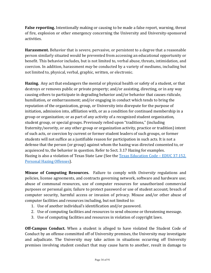**False reporting.** Intentionally making or causing to be made a false report, warning, threat of fire, explosion or other emergency concerning the University and University-sponsored activities.

**Harassment.** Behavior that is severe, pervasive, or persistent to a degree that a reasonable person similarly situated would be prevented from accessing an educational opportunity or benefit. This behavior includes, but is not limited to, verbal abuse, threats, intimidation, and coercion. In addition, harassment *may* be conducted by a variety of mediums, including but not limited to, physical, verbal, graphic, written, or electronic.

Hazing. Any act that endangers the mental or physical health or safety of a student, or that destroys or removes public or private property; and/or assisting, directing, or in any way causing others to participate in degrading behavior and/or behavior that causes ridicule, humiliation, or embarrassment; and/or engaging in conduct which tends to bring the reputation of the organization, group, or University into disrepute for the purpose of initiation, admission into, affiliation with, or as a condition for continued membership in a group or organization; or as part of any activity of a recognized student organization, student group, or special groups. Previously relied upon "traditions," (including fraternity/sorority, or any other group or organization activity, practice or tradition) intent of such acts, or coercion by current or former student leaders of such groups, or former students will not suffice as a justifiable reason for participation in such acts. It is not a defense that the person (or group) against whom the hazing was directed consented to, or acquiesced to, the behavior in question. Refer to Sect. 3.17 Hazing for examples. Hazing is also a violation of Texas State Law (See the Texas Education Code - EDUC 37.152. Personal Hazing Offenses).

**Misuse of Computing Resources.** Failure to comply with *University* regulations and policies, license agreements, and contracts governing network, software and hardware use; abuse of communal resources, use of computer resources for unauthorized commercial purposes or personal gain; failure to protect password or use of student account; breach of computer security, harmful access or invasion of privacy. Misuse and/or other abuse of computer facilities and resources including, but not limited to:

- 1. Use of another individual's identification and/or password.
- 2. Use of computing facilities and resources to send obscene or threatening message.
- 3. Use of computing facilities and resources in violation of copyright laws.

**Off-Campus Conduct.** When a student is alleged to have violated the Student Code of Conduct by an offense committed off of University premises, the University may investigate and adjudicate. The University may take action in situations occurring off University premises involving student conduct that may cause harm to another, result in damage to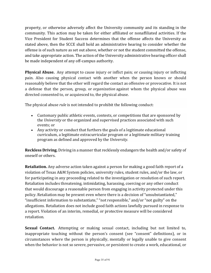property, or otherwise adversely affect the University community and its standing in the community. This action may be taken for either affiliated or nonaffiliated activities. If the Vice President for Student Success determines that the offense affects the University as stated above, then the SCCE shall hold an administrative hearing to consider whether the offense is of such nature as set out above, whether or not the student committed the offense, and take appropriate action. The action of the University administrative hearing officer shall be made independent of any off-campus authority.

**Physical Abuse.** Any attempt to cause injury or inflict pain; or causing injury or inflicting pain. Also causing physical contact with another when the person knows or should reasonably believe that the other will regard the contact as offensive or provocative. It is not a defense that the person, group, or *organization* against whom the physical abuse was directed consented to, or acquiesced to, the physical abuse.

The physical abuse *rule* is not intended to prohibit the following conduct:

- Customary public athletic events, contests, or competitions that are sponsored by the *University* or the organized and supervised practices associated with such events; or
- Any activity or conduct that furthers the goals of a legitimate educational curriculum, a legitimate extracurricular program or a legitimate military training program as defined and approved by the *University*.

**Reckless Driving.** Driving in a manner that recklessly endangers the health and/or safety of oneself or others.

**Retaliation.** Any adverse action taken against a person for making a good faith report of a violation of Texas A&M System policies, university rules, student rules, and/or the law, or for participating in any proceeding related to the investigation or resolution of such report. Retaliation includes threatening, intimidating, harassing, coercing or any other conduct that would discourage a reasonable person from engaging in activity protected under this policy. Retaliation may be present even where there is a decision of "unsubstantiated," "insufficient information to substantiate," "not responsible," and/or "not guilty" on the allegations. Retaliation does not include good faith actions lawfully pursued in response to a report. Violation of an interim, remedial, or protective measure will be considered retaliation.

**Sexual Contact.** Attempting or making sexual contact, including but not limited to, inappropriate touching without the person's consent (see "consent" definitions), or in circumstances where the person is physically, mentally or legally unable to give consent when the behavior is not so severe, pervasive, or persistent to create a work, educational, or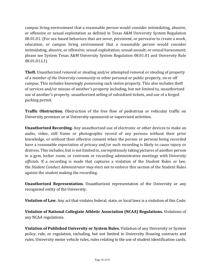campus living environment that a reasonable person would consider intimidating, abusive, or offensive or sexual exploitation as defined in Texas A&M University System Regulation 08.01.01. (For sex-based behaviors that are sever, persistent, or pervasive to create a work, education, or campus living environment that a reasonable person would consider intimidating, abusive, or offensive; sexual exploitation; sexual assault; or sexual harassment; please see System Texas A&M University System Regulation 08.01.01 and University Rule 08.01.01.L1)

**Theft.** Unauthorized removal or stealing and/or attempted removal or stealing of property of a *member of the University community* or other personal or public property, on or off campus. This includes knowingly possessing such stolen property. This also includes theft of services and/or misuse of another's property including, but not limited to, unauthorized use of another's property, unauthorized selling of subsidized tickets, and use of a forged parking permit.

**Traffic Obstruction.** Obstruction of the free flow of pedestrian or vehicular traffic on University premises or at University-sponsored or supervised activities.

**Unauthorized Recording.** Any unauthorized use of electronic or other devices to make an audio, video, still frame or photographic record of any persons without their prior knowledge, or without their effective consent when the person or persons being recorded have a reasonable expectation of privacy and/or such recording is likely to cause injury or distress. This includes, but is not limited to, surreptitiously taking pictures of another person in a gym, locker room, or restroom or recording administrative meetings with *University officials*. If a recording is made that captures a violation of the Student Rules or law, the *Student Conduct Administrator may* elect not to enforce this section of the Student Rules against the *student* making the recording.

**Unauthorized Representation.** Unauthorized representation of the University or any recognized entity of the University.

**Violation of Law.** Any act that violates federal, state, or local laws is a violation of this Code.

**Violation of National Collegiate Athletic Association (NCAA) Regulations.** Violations of any NCAA regulations.

**Violation of Published University or System Rules.** Violation of any University or System policy, rule, or regulation, including, but not limited to University Housing contracts and rules, University motor vehicle rules, rules relating to the use of student identification cards,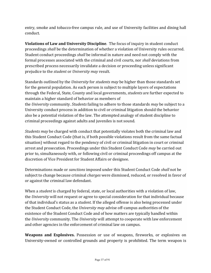entry, smoke and tobacco-free campus rule, and use of University facilities and dining hall conduct.

**Violations of Law and University Discipline**. The focus of inquiry in student conduct proceedings *shall* be the determination of whether a violation of University rules occurred. Student conduct proceedings *shall* be informal in nature and need not comply with the formal processes associated with the criminal and civil courts, nor *shall* deviations from prescribed process necessarily invalidate a decision or proceeding unless significant prejudice to the *student* or *University may* result.

Standards outlined by the *University* for *students may* be higher than those standards set for the general population. As each person is subject to multiple layers of expectations through the Federal, State, County and local governments, *students* are further expected to maintain a higher standard of behavior as members of the *University* community. *Students* failing to adhere to those standards *may* be subject to a University conduct process in addition to civil or criminal litigation should the behavior also be a potential violation of the law. The attempted analogy of student discipline to criminal proceedings against adults and juveniles is not sound.

*Students may* be charged with conduct that potentially violates both the criminal law and this Student Conduct Code (that is, if both possible violations result from the same factual situation) without regard to the pendency of civil or criminal litigation in court or criminal arrest and prosecution. Proceedings under this Student Conduct Code *may* be carried out prior to, simultaneously with, or following civil or criminal proceedings off campus at the discretion of Vice President for Student Affairs or designee.

Determinations made or *sanctions* imposed under this Student Conduct Code *shall* not be subject to change because criminal *charges* were dismissed, reduced, or resolved in favor of or against the criminal law defendant.

When a *student* is charged by federal, state, or local authorities with a violation of law, the *University* will not request or agree to special consideration for that individual because of that individual's status as a *student*. If the alleged offense is also being processed under the Student Conduct Code, the *University may* advise off-campus authorities of the existence of the Student Conduct Code and of how matters are typically handled within the *University* community. The *University* will attempt to cooperate with law enforcement and other agencies in the enforcement of criminal law on campus.

**Weapons and Explosives.** Possession or use of weapons, fireworks, or explosives on University-owned or controlled grounds and property is prohibited. The term weapon is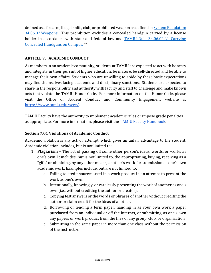defined as a firearm, illegal knife, club, or prohibited weapon as defined in System Regulation  $34.06.02$  Weapons. This prohibition excludes a concealed handgun carried by a license holder in accordance with state and federal law and TAMIU Rule 34.06.02.L1 Carrying Concealed Handguns on Campus. \*\*

### **ARTICLE 7. ACADEMIC CONDUCT**

As members in an academic community, students at TAMIU are expected to act with honesty and integrity in their pursuit of higher education, be mature, be self-directed and be able to manage their own affairs. Students who are unwilling to abide by these basic expectations may find themselves facing academic and disciplinary sanctions. Students are expected to share in the responsibility and authority with faculty and staff to challenge and make known acts that violate the TAMIU Honor Code. For more information on the Honor Code, please visit the Office of Student Conduct and Community Engagement website at <https://www.tamiu.edu/scce/>.

TAMIU Faculty have the authority to implement academic rules or impose grade penalties as appropriate. For more information, please visit the **TAMIU** Faculty Handbook.

### **Section 7.01 Violations of Academic Conduct**

Academic violation is any act, or attempt, which gives an unfair advantage to the student. Academic violation includes, but is not limited to:

- 1. **Plagiarism** The act of passing off some other person's ideas, words, or works as one's own. It includes, but is not limited to, the appropriating, buying, receiving as a "gift," or obtaining, by any other means, another's work for submission as one's own academic work. Examples include, but are not limited to:
	- a. Failing to credit sources used in a work product in an attempt to present the work as one's own.
	- b. Intentionally, knowingly, or carelessly presenting the work of another as one's own (i.e., without crediting the author or creator).
	- c. Copying test answers or the words or phrases of another without crediting the author or claim credit for the ideas of another.
	- d. Borrowing or lending a term paper, handing in as your own work a paper purchased from an individual or off the Internet, or submitting, as one's own any papers or work product from the files of any group, club, or organization.
	- e. Submitting in the same paper in more than one class without the permission of the instructor.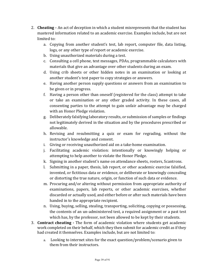- 2. **Cheating** An act of deception in which a student misrepresents that the student has mastered information related to an academic exercise. Examples include, but are not limited to:
	- a. Copying from another student's test, lab report, computer file, data listing, logs, or any other type of report or academic exercise.
	- b. Using unauthorized materials during a test.
	- c. Consulting a cell phone, text messages, PDAs, programmable calculators with materials that give an advantage over other students during an exam.
	- d. Using crib sheets or other hidden notes in an examination or looking at another student's test paper to copy strategies or answers.
	- e. Having another person supply questions or answers from an examination to be given or in progress.
	- f. Having a person other than oneself (registered for the class) attempt to take or take an examination or any other graded activity. In these cases, all consenting parties to the attempt to gain unfair advantage may be charged with an Honor Pledge violation.
	- g. Deliberately falsifying laboratory results, or submission of samples or findings not legitimately derived in the situation and by the procedures prescribed or allowable.
	- h. Revising and resubmitting a quiz or exam for regrading, without the instructor's knowledge and consent.
	- i. Giving or receiving unauthorized aid on a take-home examination.
	- j. Facilitating academic violation: intentionally or knowingly helping or attempting to help another to violate the Honor Pledge.
	- k. Signing in another student's name on attendance sheets, rosters, Scantrons.
	- l. Submitting in a paper, thesis, lab report, or other academic exercise falsified, invented, or fictitious data or evidence, or deliberate or knowingly concealing or distorting the true nature, origin, or function of such data or evidence.
	- m. Procuring and/or altering without permission from appropriate authority of examinations, papers, lab reports, or other academic exercises, whether discarded or actually used, and either before or after such materials have been handed in to the appropriate recipient.
	- n. Using, buying, selling, stealing, transporting, soliciting, copying or possessing, the contents of an un-administered test, a required assignment or a past test which has, by the professor, not been allowed to be kept by their students.
- 3. **Contract cheating** The form of academic violation where students get academic work completed on their behalf, which they then submit for academic credit as if they had created it themselves. Examples include, but are not limited to:
	- a. Looking to internet sites for the exact question/problem/scenario given to them from their instructors.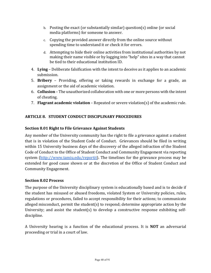- b. Posting the exact (or substantially similar) question(s) online (or social media platforms) for someone to answer.
- c. Copying the provided answer directly from the online source without spending time to understand it or check it for errors.
- d. Attempting to hide their online activities from institutional authorities by not making their name visible or by logging into "help" sites in a way that cannot be tied to their educational institution ID.
- 4. Lying Deliberate falsification with the intent to deceive as it applies to an academic submission.
- 5. **Bribery** Providing, offering or taking rewards in exchange for a grade, an assignment or the aid of academic violation.
- 6. **Collusion** The unauthorized collaboration with one or more persons with the intent of cheating.
- 7. **Flagrant academic violation** Repeated or severe violation(s) of the academic rule.

# **ARTICLE 8. STUDENT CONDUCT DISCIPLINARY PROCEDURES**

## **Section 8.01 Right to File Grievance Against Students**

Any member of the University community has the right to file a grievance against a student that is in violation of the Student Code of Conduct. Grievances should be filed in writing within 15 University business days of the discovery of the alleged infraction of the Student Code of Conduct to the Office of Student Conduct and Community Engagement via reporting system [\(http://www.tamiu.edu/reportit](http://www.tamiu.edu/reportit)). The timelines for the grievance process may be extended for good cause shown or at the discretion of the Office of Student Conduct and Community Engagement.

#### **Section 8.02 Process**

The purpose of the University disciplinary system is educationally based and is to decide if the student has misused or abused freedoms, violated System or University policies, rules, regulations or procedures, failed to accept responsibility for their actions; to communicate alleged misconduct, permit the student(s) to respond; determine appropriate action by the University; and assist the student(s) to develop a constructive response exhibiting selfdiscipline.

A University hearing is a function of the educational process. It is **NOT** an adversarial proceeding or trial in a court of law.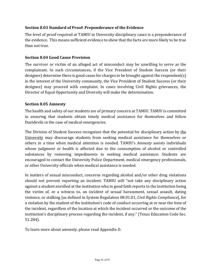## **Section 8.03 Standard of Proof: Preponderance of the Evidence**

The level of proof required at TAMIU in University disciplinary cases is a preponderance of the evidence. This means sufficient evidence to show that the facts are more likely to be true than not true.

#### **Section 8.04 Good Cause Provision**

The survivor or victim of an alleged act of misconduct may be unwilling to serve as the complainant. In such circumstances, if the Vice President of Student Success (or their designee) determine there is good cause for charges to be brought against the respondent(s) in the interest of the University community, the Vice President of Student Success (or their designee) may proceed with complaint. In cases involving Civil Rights grievances, the Director of Equal Opportunity and Diversity will make the determination.

#### **Section 8.05 Amnesty**

The health and safety of our students are of primary concern at TAMIU. TAMIU is committed to ensuring that students obtain timely medical assistance for themselves and fellow Dustdevils in the case of medical emergencies.

The Division of Student Success recognizes that the potential for disciplinary action by the University may discourage students from seeking medical assistance for themselves or others in a time when medical attention is needed. TAMIU's *Amnesty* assists individuals whose judgment or health is affected due to the consumption of alcohol or controlled substances by removing impediments to seeking medical assistance. Students are encouraged to contact the University Police Department, medical emergency professionals, or other University officials when medical assistance is needed.

In matters of sexual misconduct, concerns regarding alcohol and/or other drug violations should not prevent reporting an incident. TAMIU will "not take any disciplinary action against a student enrolled at the institution who in good faith reports to the institution being the victim of, or a witness to, an incident of sexual harassment, sexual assault, dating violence, or stalking [as defined in System Regulation 08.01.01, *Civil Rights Compliance*], for a violation by the student of the institution's code of conduct occurring at or near the time of the incident, regardless of the location at which the incident occurred or the outcome of the institution's disciplinary process regarding the incident, if any." (Texas Education Code Sec. 51.284).

To learn more about amnesty, please read Appendix D.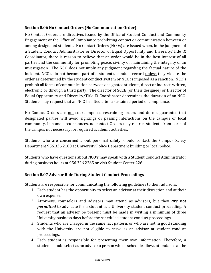### **Section 8.06 No Contact Orders (No Communication Order)**

No Contact Orders are directives issued by the Office of Student Conduct and Community Engagement or the Office of Compliance prohibiting contact or communication between or among designated students. No Contact Orders (NCOs) are issued when, in the judgment of a Student Conduct Administrator or Director of Equal Opportunity and Diversity/Title IX Coordinator, there is reason to believe that an order would be in the best interest of all parties and the community for promoting peace, civility or maintaining the integrity of an investigation. The NCO does not imply any judgment regarding the factual nature of the incident. NCO's do not become part of a student's conduct record unless they violate the order as determined by the student conduct system or NCO is imposed as a sanction. NCO's prohibit all forms of communication between designated students, direct or indirect, written, electronic or through a third party. The director of SCCE (or their designee) or Director of Equal Opportunity and Diversity/Title IX Coordinator determines the duration of an NCO. Students may request that an NCO be lifted after a sustained period of compliance.

No Contact Orders are not court imposed restraining orders and do not guarantee that designated parties will avoid sightings or passing interactions on the campus or local community. In some circumstances, no contact Orders may restrict students from parts of the campus not necessary for required academic activities.

Students who are concerned about personal safety should contact the Campus Safety Department 956.326.2100 at University Police Department building or local police.

Students who have questions about NCO's may speak with a Student Conduct Administrator during business hours at 956.326.2265 or visit Student Center 226.

#### **Section 8.07 Advisor Role During Student Conduct Proceedings**

Students are responsible for communicating the following guidelines to their advisors:

- 1. Each student has the opportunity to select an advisor at their discretion and at their own expense.
- 2. Attorneys, counselors and advisors may attend as advisors, but they **are not permitted** to advocate for a student at a University student conduct proceeding. A request that an advisor be present must be made in writing a minimum of three University business days before the scheduled student conduct proceedings.
- 3. Students who are charged in the same fact pattern, or who are not in good standing with the University are not eligible to serve as an advisor at student conduct proceedings.
- 4. Each student is responsible for presenting their own information. Therefore, a student should select as an advisor a person whose schedule allows attendance at the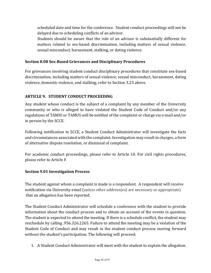scheduled date and time for the conference. Student conduct proceedings will not be delayed due to scheduling conflicts of an advisor.

Students should be aware that the role of an advisor is substantially different for matters related to sex-based discrimination, including matters of sexual violence, sexual misconduct, harassment, stalking, or dating violence.

### **Section 8.08 Sex-Based Grievances and Disciplinary Procedures**

For grievances involving student conduct disciplinary procedures that constitute sex-based discrimination, including matters of sexual violence, sexual misconduct, harassment, dating violence, domestic violence, and stalking, refer to Section 3.23 above.

### **ARTICLE 9. STUDENT CONDUCT PROCEEDING**

Any student whose conduct is the subject of a complaint by any member of the University community or who is alleged to have violated the Student Code of Conduct and/or any regulations of TAMIU or TAMUS will be notified of the complaint or charge via e-mail and/or in person by the SCCE.

Following notification to SCCE, a Student Conduct Administrator will investigate the facts and circumstances associated with the complaint. Investigation may result in charges, a form of alternative dispute resolution, or dismissal of complaint.

For academic conduct proceedings, please refer to Article 10. For civil rights procedures, please refer to Article F.

#### **Section 9.01 Investigation Process**

The student against whom a complaint is made is a respondent. A respondent will receive notification via University email (unless other address(es) are necessary or appropriate) that an allegation has been reported.

The Student Conduct Administrator will schedule a conference with the student to provide information about the conduct process and to obtain an account of the events in question. The student is expected to attend the meeting. If there is a schedule conflict, the student may reschedule by calling .956.326.2265. Failure to attend the meeting may be a violation of the Student Code of Conduct and may result in the student conduct process moving forward without the student's participation. The following will proceed:

1. A Student Conduct Administrator will meet with the student to explain the allegation.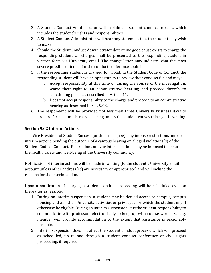- 2. A Student Conduct Administrator will explain the student conduct process, which includes the student's rights and responsibilities.
- 3. A Student Conduct Administrator will hear any statement that the student may wish to make.
- 4. Should the Student Conduct Administrator determine good cause exists to charge the responding student, all charges shall be presented to the responding student in written form via University email. The charge letter may indicate what the most severe possible outcome for the conduct conference could be.
- 5. If the responding student is charged for violating the Student Code of Conduct, the responding student will have an opportunity to review their conduct file and may:
	- a. Accept responsibility at this time or during the course of the investigation; waive their right to an administrative hearing; and proceed directly to sanctioning phase as described in Article 11.
	- b. Does not accept responsibility to the charge and proceed to an administrative hearing as described in Sec. 9.03.
- 6. The respondent will be provided not less than three University business days to prepare for an administrative hearing unless the student waives this right in writing.

## **Section 9.02 Interim Actions**

The Vice President of Student Success (or their designee) may impose restrictions and/or interim actions pending the outcome of a campus hearing on alleged violations(s) of the Student Code of Conduct. Restrictions and/or interim actions may be imposed to ensure the health, safety and well-being of the University community.

Notification of interim actions will be made in writing (to the student's University email account unless other address(es) are necessary or appropriate) and will include the reasons for the interim action.

Upon a notification of charges, a student conduct proceeding will be scheduled as soon thereafter as feasible.

- 1. During an interim suspension, a student may be denied access to campus, campus housing and all other University activities or privileges for which the student might otherwise be eligible. During an interim suspension, it is the student responsibility to communicate with professors electronically to keep up with course work. Faculty member will provide accommodation to the extent that assistance is reasonably possible.
- 2. Interim suspension does not affect the student conduct process, which will proceed as scheduled, up to and through a student conduct conference or civil rights proceeding, if required.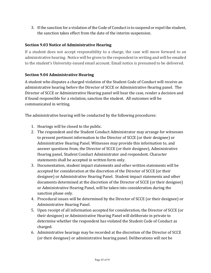3. If the sanction for a violation of the Code of Conduct is to suspend or expel the student, the sanction takes effect from the date of the interim suspension.

## **Section 9.03 Notice of Administrative Hearing**

If a student does not accept responsibility to a charge, the case will move forward to an administrative hearing. Notice will be given to the respondent in writing and will be emailed to the student's University-issued email account. Email notice is presumed to be delivered.

## **Section 9.04 Administrative Hearing**

A student who disputes a charged violation of the Student Code of Conduct will receive an administrative hearing before the Director of SCCE or Administrative Hearing panel. The Director of SCCE or Administrative Hearing panel will hear the case, render a decision and if found responsible for a violation, sanction the student. All outcomes will be communicated in writing.

The administrative hearing will be conducted by the following procedures:

- 1. Hearings will be closed to the public.
- 2. The respondent and the Student Conduct Administrator may arrange for witnesses to present pertinent information to the Director of SCCE (or their designee) or Administrative Hearing Panel. Witnesses may provide this information to, and answer questions from, the Director of SCCE (or their designee), Administrative Hearing panel, Student Conduct Administrator and respondent. Character statements shall be accepted in written form only.
- 3. Documentation, student impact statements and other written statements will be accepted for consideration at the discretion of the Director of SCCE (or their designee) or Administrative Hearing Panel. Student impact statements and other documents determined at the discretion of the Director of SCCE (or their designee) or Administrative Hearing Panel, will be taken into consideration during the sanction phase only.
- 4. Procedural issues will be determined by the Director of SCCE (or their designee) or Administrative Hearing Panel.
- 5. Upon receipt of all information accepted for consideration, the Director of SCCE (or their designee) or Administrative Hearing Panel will deliberate in private to determine whether the respondent has violated the Student Code of Conduct as charged.
- 6. Administrative hearings may be recorded at the discretion of the Director of SCCE (or their designee) or administrative hearing panel. Deliberations will not be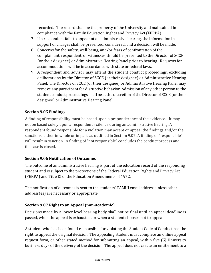recorded. The record shall be the property of the University and maintained in compliance with the Family Education Rights and Privacy Act (FERPA).

- 7. If a respondent fails to appear at an administrative hearing, the information in support of charges shall be presented, considered, and a decision will be made.
- 8. Concerns for the safety, well-being, and/or fears of confrontation of the complainant, respondent, or witnesses should be presented to the Director of SCCE (or their designee) or Administrative Hearing Panel prior to hearing. Requests for accommodations will be in accordance with state or federal laws.
- 9. A respondent and advisor may attend the student conduct proceedings, excluding deliberations by the Director of SCCE (or their designee) or Administrative Hearing Panel. The Director of SCCE (or their designee) or Administrative Hearing Panel may remove any participant for disruptive behavior. Admission of any other person to the student conduct proceedings shall be at the discretion of the Director of SCCE (or their designee) or Administrative Hearing Panel.

# **Section 9.05 Findings**

A finding of responsibility must be based upon a preponderance of the evidence. It may not be based solely upon a respondent's silence during an administrative hearing. A respondent found responsible for a violation may accept or appeal the findings and/or the sanctions, either in whole or in part, as outlined in Section 9.07. A finding of "responsible" will result in sanction. A finding of "not responsible" concludes the conduct process and the case is closed.

## **Section 9.06 Notification of Outcomes**

The outcome of an administrative hearing is part of the education record of the responding student and is subject to the protections of the Federal Education Rights and Privacy Act (FERPA) and Title IX of the Education Amendments of 1972.

The notification of outcomes is sent to the students' TAMIU email address unless other address(es) are necessary or appropriate.

## **Section 9.07 Right to an Appeal (non-academic)**

Decisions made by a lower level hearing body shall not be final until an appeal deadline is passed, when the appeal is exhausted, or when a student chooses not to appeal.

A student who has been found responsible for violating the Student Code of Conduct has the right to appeal the original decision. The appealing student must complete an online appeal request form, or other stated method for submitting an appeal, within five (5) University business days of the delivery of the decision. The appeal does not create an entitlement to a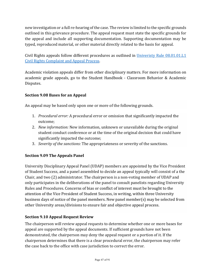new investigation or a full re-hearing of the case. The review is limited to the specific grounds outlined in this grievance procedure. The appeal request must state the specific grounds for the appeal and include all supporting documentation. Supporting documentation may be typed, reproduced material, or other material directly related to the basis for appeal.

Civil Rights appeals follow different procedures as outlined in Univeristy Rule 08.01.01.L1 Civil Rights Complaint and Appeal Process.

Academic violation appeals differ from other disciplinary matters. For more information on academic grade appeals, go to the Student Handbook - Classroom Behavior & Academic Disputes. 

## **Section 9.08 Bases for an Appeal**

An appeal may be based only upon one or more of the following grounds.

- 1. *Procedural error:* A procedural error or omission that significantly impacted the outcome;
- 2. *New information:* New information, unknown or unavailable during the original student conduct conference or at the time of the original decision that could have significantly impacted the outcome;
- 3. *Severity of the sanctions:* The appropriateness or severity of the sanctions.

## **Section 9.09 The Appeals Panel**

University Disciplinary Appeal Panel (UDAP) members are appointed by the Vice President of Student Success, and a panel assembled to decide an appeal typically will consist of a the Chair, and two  $(2)$  administrator. The chairperson is a non-voting member of UDAP and only participates in the deliberations of the panel to consult panelists regarding University Rules and Procedures. Concerns of bias or conflict of interest must be brought to the attention of the Vice President of Student Success, in writing, within three University business days of notice of the panel members. New panel member(s) may be selected from other University areas/divisions to ensure fair and objective appeal process.

## **Section 9.10 Appeal Request Review**

The chairperson will review appeal requests to determine whether one or more bases for appeal are supported by the appeal documents. If sufficient grounds have not been demonstrated, the chairperson may deny the appeal request or a portion of it. If the chairperson determines that there is a clear procedural error, the chairperson may refer the case back to the office with case jurisdiction to correct the error.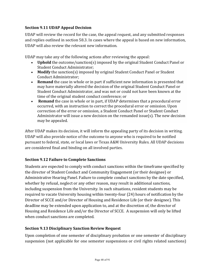## **Section 9.11 UDAP Appeal Decision**

UDAP will review the record for the case, the appeal request, and any submitted responses and replies outlined in section 58.3. In cases where the appeal is based on new information, UDAP will also review the relevant new information.

UDAP may take any of the following actions after reviewing the appeal:

- **Uphold** the outcome/sanction(s) imposed by the original Student Conduct Panel or Student Conduct Administrator:
- **Modify** the sanction(s) imposed by original Student Conduct Panel or Student Conduct Administrator;
- Remand the case in whole or in part if sufficient new information is presented that may have materially altered the decision of the original Student Conduct Panel or Student Conduct Administrator, and was not or could not have been known at the time of the original student conduct conference; or
- **Remand** the case in whole or in part, if UDAP determines that a procedural error occurred, with an instruction to correct the procedural error or omission. Upon correction of the error or omission, a Student Conduct Panel or Student Conduct Administrator will issue a new decision on the remanded issue(s). The new decision may be appealed.

After UDAP makes its decision, it will inform the appealing party of its decision in writing. UDAP will also provide notice of the outcome to anyone who is required to be notified pursuant to federal, state, or local laws or Texas A&M University Rules. All UDAP decisions are considered final and binding on all involved parties.

## **Section 9.12 Failure to Complete Sanctions**

Students are expected to comply with conduct sanctions within the timeframe specified by the director of Student Conduct and Community Engagement (or their designee) or Administrative Hearing Panel. Failure to complete conduct sanctions by the date specified, whether by refusal, neglect or any other reason, may result in additional sanctions, including suspension from the University. In such situations, resident students may be required to vacate University housing within twenty-four (24) hours of notification by the Director of SCCE and/or Director of Housing and Residence Life (or their designee). This deadline may be extended upon application to, and at the discretion of, the director of Housing and Residence Life and/or the Director of SCCE. A suspension will only be lifted when conduct sanctions are completed.

#### **Section 9.13 Disciplinary Sanction Review Request**

Upon completion of one semester of disciplinary probation or one semester of disciplinary suspension (not applicable for one semester suspensions or civil rights related sanctions)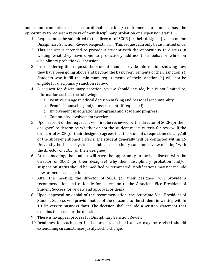and upon completion of all educational sanctions/requirements, a student has the opportunity to request a review of their disciplinary probation or suspension status.

- 1. Request must be submitted to the director of SCCE (or their designee) via an online Disciplinary Sanction Review Request Form. This request can only be submitted once.
- 2. This request is intended to provide a student with the opportunity to discuss in writing what they have done to pro-actively address their behavior while on disciplinary probation/suspension.
- 3. In considering this request, the student should provide information showing how they have been going above and beyond the basic requirements of their sanction(s). Students who fulfill the minimum requirements of their sanctions(s) will not be eligible for disciplinary sanction review.
- 4. A request for disciplinary sanction review should include, but is not limited to, information such as the following:
	- a. Positive change in ethical decision making and personal accountability.
	- b. Proof of counseling and/or assessment (if requested).
	- c. Involvement in educational programs and academic progress.
	- d. Community involvement/service.
- 5. Upon receipt of the request, it will first be reviewed by the director of SCCE (or their designee) to determine whether or not the student meets criteria for review. If the director of SCCE (or their designee) agrees that the student's request meets any/all of the above-mentioned criteria, the student generally will be contacted within 15 University business days to schedule a "disciplinary sanction review meeting" with the director of SCCE (or their designee).
- 6. At this meeting, the student will have the opportunity to further discuss with the director of SCCE (or their designee) why their disciplinary probation and/or suspension status should be modified or terminated. Modifications may not include new or increased sanctions.
- 7. After the meeting, the director of SCCE (or their designee) will provide a recommendation and rationale for a decision to the Associate Vice President of Student Success for review and approval or denial.
- 8. Upon approval or denial of the recommendation, the Associate Vice President of Student Success will provide notice of the outcome to the student in writing within 10 University business days. The decision shall include a written statement that explains the basis for the decision.
- 9. There is no appeal process for Disciplinary Sanction Review.
- 10. Deadlines for each step in the process outlined above may be revised should extenuating circumstances justify such a change.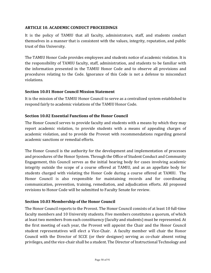### **ARTICLE 10. ACADEMIC CONDUCT PROCEEDINGS**

It is the policy of TAMIU that all faculty, administrators, staff, and students conduct themselves in a manner that is consistent with the values, integrity, reputation, and public trust of this University.

The TAMIU Honor Code provides employees and students notice of academic violation. It is the responsibility of TAMIU faculty, staff, administration, and students to be familiar with the information presented in the TAMIU Honor Code and to observe all provisions and procedures relating to the Code. Ignorance of this Code is not a defense to misconduct violations. 

#### **Section 10.01 Honor Council Mission Statement**

It is the mission of the TAMIU Honor Council to serve as a centralized system established to respond fairly to academic violations of the TAMIU Honor Code.

### **Section 10.02 Essential Functions of the Honor Council**

The Honor Council serves to provide faculty and students with a means by which they may report academic violation, to provide students with a means of appealing charges of academic violation, and to provide the Provost with recommendations regarding general academic sanctions or remedial efforts.

The Honor Council is the authority for the development and implementation of processes and procedures of the Honor System. Through the Office of Student Conduct and Community Engagement, this Council serves as the initial hearing body for cases involving academic integrity outside the scope of a course offered at TAMIU, and as an appellate body for students charged with violating the Honor Code during a course offered at TAMIU. The Honor Council is also responsible for maintaining records and for coordinating communication, prevention, training, remediation, and adjudication efforts. All proposed revisions to Honor Code will be submitted to Faculty Senate for review.

#### **Section 10.03 Membership of the Honor Council**

The Honor Council reports to the Provost. The Honor Council consists of at least 10 full-time faculty members and 10 University students. Five members constitutes a quorum, of which at least two members from each constituency (faculty and students) must be represented. At the first meeting of each year, the Provost will appoint the Chair and the Honor Council student representatives will elect a Vice-Chair. A faculty member will chair the Honor Council with the Director of SCCE (or their designee) serving as co-chair absent voting privileges, and the vice-chair shall be a student. The Director of Instructional Technology and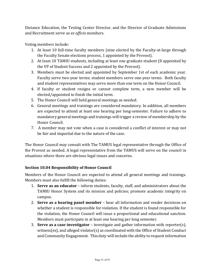Distance Education, the Testing Center Director, and the Director of Graduate Admissions and Recruitment serve as *ex officio* members.

Voting members include:

- 1. At least 10 full-time faculty members (nine elected by the Faculty-at-large through the Faculty Senate elections process, 1 appointed by the Provost).
- 2. At least 10 TAMIU students, including at least one graduate student (8 appointed by the VP of Student Success and 2 appointed by the Provost).
- 3. Members must be elected and appointed by September 1st of each academic year. Faculty serve two-year terms; student members serve one-year terms. Both faculty and student representatives may serve more than one term on the Honor Council.
- 4. If faculty or student resigns or cannot complete term, a new member will be elected/appointed to finish the initial term.
- 5. The Honor Council will hold general meetings as needed.
- 6. General meetings and trainings are considered mandatory. In addition, all members are expected to attend at least one hearing per long-semester. Failure to adhere to mandatory general meetings and trainings will trigger a review of membership by the Honor Council.
- 7. A member may not vote when a case is considered a conflict of interest or may not be fair and impartial due to the nature of the case.

The Honor Council may consult with The TAMUS legal representative through the Office of the Provost as needed. A legal representative from the TAMUS will serve on the council in situations where there are obvious legal issues and concerns.

## **Section 10.04 Responsibility of Honor Council**

Members of the Honor Council are expected to attend all general meetings and trainings. Members must also fulfill the following duties:

- 1. **Serve as an educator** inform students, faculty, staff, and administrators about the TAMIU Honor System and its mission and policies; promote academic integrity on campus.
- 2. **Serve as a hearing panel member** hear all information and render decisions on whether a student is responsible for violation. If the student is found responsible for the violation, the Honor Council will issue a proportional and educational sanction. Members must participate in at least one hearing per long semester.
- 3. **Serve as a case investigator** investigate and gather information with reporter(s), witness(es), and alleged violator(s) as coordinated with the Office of Student Conduct and Community Engagement. This duty will include the ability to request information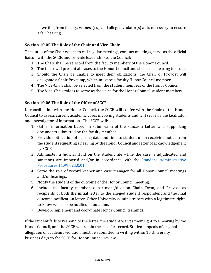in writing from faculty, witness(es), and alleged violator(s) as is necessary to ensure a fair hearing.

## **Section 10.05 The Role of the Chair and Vice-Chair**

The duties of the Chair will be to call regular meetings, conduct meetings, serve as the official liaison with the SCCE, and provide leadership to the Council:

- 1. The Chair shall be selected from the faculty members of the Honor Council.
- 2. The Chair will present all cases to the Honor Council and shall call a hearing to order.
- 3. Should the Chair be unable to meet their obligations, the Chair or Provost will designate a Chair Pro-temp, which must be a faculty Honor Council member.
- 4. The Vice-Chair shall be selected from the student members of the Honor Council.
- 5. The Vice-Chair role is to serve as the voice for the Honor Council student members.

### **Section 10.06 The Role of the Office of SCCE**

In coordination with the Honor Council, the SCCE will confer with the Chair of the Honor Council to assess current academic cases involving students and will serve as the facilitator and investigator of information. The SCCE will:

- 1. Gather information based on submission of the Sanction Letter, and supporting documents submitted by the faculty member.
- 2. Provide notification of hearing date and time to student upon receiving notice from the student requesting a hearing by the Honor Council and letter of acknowledgement by SCCE.
- 3. Administer a Judicial Hold on the student file while the case is adjudicated and sanctions are imposed and/or in accordance with the Standard Administrative Procedures 11.99.02.L0.01.
- 4. Serve the role of record keeper and case manager for all Honor Council meetings and/or hearings.
- 5. Notify the student of the outcome of the Honor Council meeting.
- 6. Include the faculty member, department/division Chair, Dean, and Provost as recipients of both the initial letter to the alleged student respondent and the final outcome notification letter. Other University administrators with a legitimate-rightto-know will also be notified of outcome.
- 7. Develop, implement and coordinate Honor Council trainings.

If the student fails to respond to the letter, the student waives their right to a hearing by the Honor Council, and the SCCE will retain the case for record. Student appeals of original allegation of academic violation must be submitted in writing within 10 University business days to the SCCE for Honor Council review.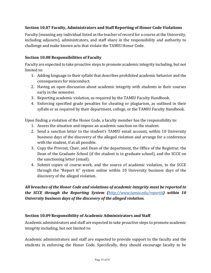## **Section 10.07 Faculty, Administrators and Staff Reporting of Honor Code Violations**

Faculty (meaning any individual listed as the teacher of record for a course at the University, including adjuncts), administrators, and staff share in the responsibility and authority to challenge and make known acts that violate the TAMIU Honor Code.

## **Section 10.08 Responsibilities of Faculty**

Faculty are expected to take proactive steps to promote academic integrity including, but not limited to:

- 1. Adding language to their syllabi that describes prohibited academic behavior and the consequences for misconduct.
- 2. Having an open discussion about academic integrity with students in their courses early in the semester.
- 3. Reporting academic violation, as required by the TAMIU Faculty Handbook.
- 4. Enforcing specified grade penalties for cheating or plagiarism, as outlined in their syllabi or as required by their department, college, or the TAMIU Faculty Handbook.

Upon finding a violation of the Honor Code, a faculty member has the responsibility to:

- 1. Assess the situation and impose an academic sanction on the student.
- 2. Send a sanction letter to the student's TAMIU email account, within 10 University business days of the discovery of the alleged violation and arrange for a conference with the student, if at all possible.
- 3. Copy the Provost, Chair, and Dean of the department, the Office of the Registrar, the Dean of the Graduate School (if the student is in graduate school), and the SCCE on the sanctioning letter (email).
- 4. Submit copies of course-work, and the source of academic violation, to the SCCE through the "Report It" system online within 10 University business days of the discovery of the alleged violation.

All breaches of the Honor Code and violations of academic integrity must be reported to *the* SCCE through the Reporting System (*<http://www.tamiu.edu/reportit>*) within 10 *University business days of the discovery of the alleged violation.* 

## **Section 10.09 Responsibility of Academic Administrators and Staff**

Academic administrators and staff are expected to take proactive steps to promote academic integrity including, but not limited to:

Academic administrators and staff are expected to provide support to the faculty and the students in enforcing the Honor Code. Specifically, they should encourage faculty to be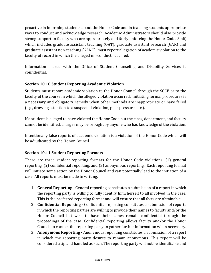proactive in informing students about the Honor Code and in teaching students appropriate ways to conduct and acknowledge research. Academic Administrators should also provide strong support to faculty who are appropriately and fairly enforcing the Honor Code. Staff, which includes graduate assistant teaching  $(GAT)$ , graduate assistant research  $(GAR)$  and graduate assistant non-teaching (GANT), must report allegation of academic violation to the faculty of record in which the alleged misconduct occurred.

Information shared with the Office of Student Counseling and Disability Services is confidential.

## **Section 10.10 Student Reporting Academic Violation**

Students must report academic violation to the Honor Council through the SCCE or to the faculty of the course in which the alleged violation occurred. Initiating formal procedures is a necessary and obligatory remedy when other methods are inappropriate or have failed (e.g., drawing attention to a suspected violation, peer pressure, etc.).

If a student is alleged to have violated the Honor Code but the class, department, and faculty cannot be identified, charges may be brought by anyone who has knowledge of the violation.

Intentionally false reports of academic violation is a violation of the Honor Code which will be adjudicated by the Honor Council.

## **Section 10.11 Student Reporting Formats**

There are three student-reporting formats for the Honor Code violations: (1) general reporting, (2) confidential reporting, and (3) anonymous reporting. Each reporting format will initiate some action by the Honor Council and can potentially lead to the initiation of a case. All reports must be made in writing.

- 1. **General Reporting** General reporting constitutes a submission of a report in which the reporting party is willing to fully identify him/herself to all involved in the case. This is the preferred reporting format and will ensure that all facts are obtainable.
- 2. **Confidential Reporting** Confidential reporting constitutes a submission of reports in which the reporting parties are willing to provide their names to faculty and/or the Honor Council but wish to have their names remain confidential through the proceedings of the case. Confidential reporting allows faculty and/or the Honor Council to contact the reporting party to gather further information when necessary.
- 3. **Anonymous Reporting** Anonymous reporting constitutes a submission of a report in which the reporting party desires to remain anonymous. This report will be considered a tip and handled as such. The reporting party will not be identifiable and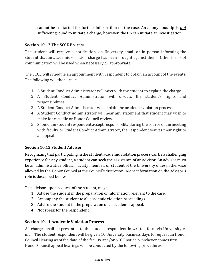cannot be contacted for further information on the case. An anonymous tip is **not** sufficient ground to initiate a charge; however, the tip can initiate an investigation.

### **Section 10.12 The SCCE Process**

The student will receive a notification via University email or in person informing the student that an academic violation charge has been brought against them. Other forms of communication will be used when necessary or appropriate.

The SCCE will schedule an appointment with respondent to obtain an account of the events. The following will then occur:

- 1. A Student Conduct Administrator will meet with the student to explain the charge.
- 2. A Student Conduct Administrator will discuss the student's rights and responsibilities.
- 3. A Student Conduct Administrator will explain the academic violation process.
- 4. A Student Conduct Administrator will hear any statement that student may wish to make for case file or Honor Council review.
- 5. Should the student respondent accept responsibility during the course of the meeting with faculty or Student Conduct Administrator, the respondent waives their right to an appeal.

#### **Section 10.13 Student Advisor**

Recognizing that participating in the student academic violation process can be a challenging experience for any student, a student can seek the assistance of an advisor. An advisor must be an administrative official, faculty member, or student of the University unless otherwise allowed by the Honor Council at the Council's discretion. More information on the advisor's role is described below.

The advisor, upon request of the student, may:

- 1. Advise the student in the preparation of information relevant to the case.
- 2. Accompany the student to all academic violation proceedings.
- 3. Advise the student in the preparation of an academic appeal.
- 4. Not speak for the respondent.

## **Section 10.14 Academic Violation Process**

All charges shall be presented to the student respondent in written form via University email. The student respondent will be given 10 University business days to request an Honor Council Hearing as of the date of the faculty and/or SCCE notice, whichever comes first. Honor Council appeal hearings will be conducted by the following procedures: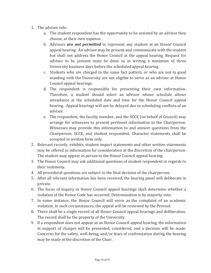- 1. The advisor role:
	- a. The student respondent has the opportunity to be assisted by an advisor they choose, at their own expense.
	- b. Advisors *are not permitted* to represent any student at an Honor Council appeal hearing. An advisor may be present and communicate with the student but shall not address the Honor Council at the appeal hearing. Request for advisor to be present must be done so in writing a minimum of three University business days before the scheduled appeal hearing.
	- c. Students who are charged in the same fact pattern, or who are not in good standing with the University are not eligible to serve as an advisor at Honor Council appeal hearings.
	- d. The respondent is responsible for presenting their own information. Therefore, a student should select an advisor whose schedule allows attendance at the scheduled date and time for the Honor Council appeal hearing. Appeal hearings will not be delayed due to scheduling conflicts of an advisor.
	- e. The respondent, the faculty member, and the SCCE (on behalf of Council) may arrange for witnesses to present pertinent information to the Chairperson. Witnesses may provide this information to and answer questions from the Chairperson, SCCE, and student respondent. Character statements shall be accepted in written form only.
- 2. Relevant records, exhibits, student impact statements and other written statements may be offered as information for consideration at the discretion of the chairperson. The student may appear in person to the Honor Council appeal hearing.
- 3. The Honor Council may ask additional questions of student respondent in regards to their testimony.
- 4. All procedural questions are subject to the final decision of the chairperson.
- 5. After all relevant information has been received, the hearing panel will deliberate in private.
- 6. The focus of inquiry in Honor Council appeal hearings shall determine whether a violation of the Honor Code has occurred. Determination is by majority vote.
- 7. In some instance, the Honor Council will serve as the complaint of an academic violation. In such circumstances, the appeal will be reviewed by the Provost.
- 8. There shall be a single record of all Honor Council appeal hearings and deliberation. The record shall be the property of the University.
- 9. If a respondent does not appear at an Honor Council appeal hearing, the information in support of charges will be presented, considered, and a decision will be made. Concerns for the safety, well-being, and/or fears of confrontation during the hearing may be made at the discretion of the Chair.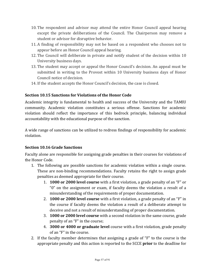- 10. The respondent and advisor may attend the entire Honor Council appeal hearing except the private deliberations of the Council. The Chairperson may remove a student or advisor for disruptive behavior.
- 11. A finding of responsibility may not be based on a respondent who chooses not to appear before an Honor Council appeal hearing.
- 12. The Council will deliberate in private and notify student of the decision within 10 University business days.
- 13. The student may accept or appeal the Honor Council's decision. An appeal must be submitted in writing to the Provost within 10 University business days of Honor Council notice of decision.
- 14. If the student accepts the Honor Council's decision, the case is closed.

## **Section 10.15 Sanctions for Violations of the Honor Code**

Academic integrity is fundamental to health and success of the University and the TAMIU community. Academic violation constitutes a serious offense. Sanctions for academic violation should reflect the importance of this bedrock principle, balancing individual accountability with the educational purpose of the sanction.

A wide range of sanctions can be utilized to redress findings of responsibility for academic violation.

## **Section 10.16 Grade Sanctions**

Faculty alone are responsible for assigning grade penalties in their courses for violations of the Honor Code.

- 1. The following are possible sanctions for academic violation within a single course. These are non-binding recommendations. Faculty retains the right to assign grade penalties as deemed appropriate for their course.
	- 1. **1000 or 2000 level course** with a first violation, a grade penalty of an "F" or "0" on the assignment or exam, if faculty deems the violation a result of a misunderstanding of the requirements of proper documentation.
	- 2. **1000 or 2000 level course** with a first violation, a grade penalty of an "F" in the course if faculty deems the violation a result of a deliberate attempt to deceive and not a result of misunderstanding of proper documentation.
	- 3. **1000 or 2000 level course** with a second violation in the same course, grade penalty of an "F" in the course;
	- 4. **3000 or 4000 or graduate level** course with a first violation, grade penalty of an "F" in the course.
- 2. If the faculty member determines that assigning a grade of "F" to the course is the appropriate penalty and this action is reported to the SCCE **prior** to the deadline for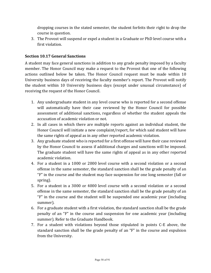dropping courses in the stated semester, the student forfeits their right to drop the course in question.

3. The Provost will suspend or expel a student in a Graduate or PhD level course with a first violation.

### **Section 10.17 General Sanctions**

A student may face general sanctions in addition to any grade penalty imposed by a faculty member. The Honor Council may make a request to the Provost that one of the following actions outlined below be taken. The Honor Council request must be made within 10 University business days of receiving the faculty member's report. The Provost will notify the student within 10 University business days (except under unusual circumstance) of receiving the request of the Honor Council.

- 1. Any undergraduate student in any level course who is reported for a second offense will automatically have their case reviewed by the Honor Council for possible assessment of additional sanctions, regardless of whether the student appeals the accusation of academic violation or not.
- 2. In all cases in which there are multiple reports against an individual student, the Honor Council will initiate a new complaint/report, for which said student will have the same rights of appeal as in any other reported academic violation.
- 3. Any graduate student who is reported for a first offense will have their case reviewed by the Honor Council to assess if additional charges and sanctions will be imposed. The graduate student will have the same rights of appeal as in any other reported academic violation.
- 4. For a student in a 1000 or 2000 level course with a second violation or a second offense in the same semester, the standard sanction shall be the grade penalty of an "F" in the course and the student may face suspension for one long semester (fall or spring).
- 5. For a student in a 3000 or 4000 level course with a second violation or a second offense in the same semester, the standard sanction shall be the grade penalty of an "F" in the course and the student will be suspended one academic year (including summer).
- 6. For a graduate student with a first violation, the standard sanction shall be the grade penalty of an "F" in the course and suspension for one academic year (including summer). Refer to the Graduate Handbook.
- 7. For a student with violations beyond those stipulated in points C-E above, the standard sanction shall be the grade penalty of an "F" in the course and expulsion from the University.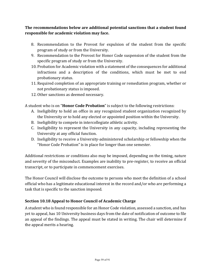The recommendations below are additional potential sanctions that a student found **responsible for academic violation may face.** 

- 8. Recommendation to the Provost for expulsion of the student from the specific program of study or from the University.
- 9. Recommendation to the Provost for Honor Code suspension of the student from the specific program of study or from the University.
- 10. Probation for Academic violation with a statement of the consequences for additional infractions and a description of the conditions, which must be met to end probationary status.
- 11. Required completion of an appropriate training or remediation program, whether or not probationary status is imposed.
- 12. Other sanctions as deemed necessary.

A student who is on "**Honor Code Probation**" is subject to the following restrictions:

- A. Ineligibility to hold an office in any recognized student organization recognized by the University or to hold any elected or appointed position within the University.
- B. Ineligibility to compete in intercollegiate athletic activity.
- C. Ineligibility to represent the University in any capacity, including representing the University at any official function.
- D. Ineligibility to receive a University-administered scholarship or fellowship when the "Honor Code Probation" is in place for longer than one semester.

Additional restrictions or conditions also may be imposed, depending on the timing, nature and severity of the misconduct. Examples are inability to pre-register, to receive an official transcript, or to participate in commencement exercises.

The Honor Council will disclose the outcome to persons who meet the definition of a school official who has a legitimate educational interest in the record and/or who are performing a task that is specific to the sanction imposed.

# **Section 10.18 Appeal to Honor Council of Academic Charge**

A student who is found responsible for an Honor Code violation, assessed a sanction, and has yet to appeal, has 10 University business days from the date of notification of outcome to file an appeal of the findings. The appeal must be stated in writing. The chair will determine if the appeal merits a hearing.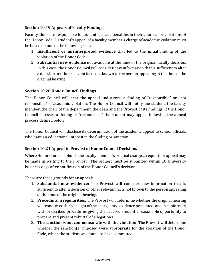## **Section 10.19 Appeals of Faculty Findings**

Faculty alone are responsible for assigning grade penalties in their courses for violations of the Honor Code. A student's appeal of a faculty member's charge of academic violation must be based on one of the following reasons:

- 1. **Insufficient or misinterpreted evidence** that led to the initial finding of the violation of the Honor Code.
- 2. **Substantial new evidence** not available at the time of the original faculty decision. In this case, the Honor Council will consider new information that is sufficient to alter a decision or other relevant facts not known to the person appealing at the time of the original hearing.

#### **Section 10.20 Honor Council Findings**

The Honor Council will hear the appeal and assess a finding of "responsible" or "not responsible" of academic violation. The Honor Council will notify the student, the faculty member, the chair of the department, the dean and the Provost of its findings. If the Honor Council assesses a finding of "responsible," the student may appeal following the appeal process defined below.

The Honor Council will disclose its determination of the academic appeal to school officials who have an educational interest in the finding or sanction.

#### **Section 10.21 Appeal to Provost of Honor Council Decisions**

Where Honor Council upholds the faculty member's original charge, a request for appeal may be made in writing to the Provost. The request must be submitted within 10 University business days after notification of the Honor Council's decision.

There are three grounds for an appeal:

- 1. **Substantial new evidence:** The Provost will consider new information that is sufficient to alter a decision or other relevant facts not known to the person appealing at the time of the original hearing.
- 2. **Procedural irregularities**: The Provost will determine whether the original hearing was conducted fairly in light of the charges and evidence presented, and in conformity with prescribed procedures giving the accused student a reasonable opportunity to prepare and present rebuttal of allegations.
- **3. The sanction is not commensurate with the violation:** The Provost will determine whether the sanction(s) imposed were appropriate for the violation of the Honor Code, which the student was found to have committed.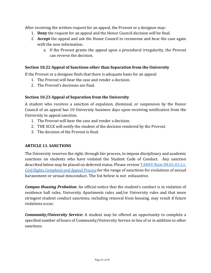After receiving the written request for an appeal, the Provost or a designee may:

- 1. **Deny** the request for an appeal and the Honor Council decision will be final.
- 2. **Accept** the appeal and ask the Honor Council to reconvene and hear the case again with the new information.
	- a. If the Provost grants the appeal upon a procedural irregularity, the Provost can reverse the decision.

### **Section 10.22 Appeal of Sanctions other than Separation from the University**

If the Provost or a designee finds that there is adequate basis for an appeal:

- 1. The Provost will hear the case and render a decision.
- 2. The Provost's decisions are final.

### **Section 10.23 Appeal of Separation from the University**

A student who receives a sanction of expulsion, dismissal, or suspension by the Honor Council of an appeal has 10 University business days upon receiving notification from the University to appeal sanction.

- 1. The Provost will hear the case and render a decision.
- 2. THE SCCE will notify the student of the decision rendered by the Provost.
- 3. The decision of the Provost is final.

#### **ARTICLE 11. SANCTIONS**

The University reserves the right, through fair process, to impose disciplinary and academic sanctions on students who have violated the Student Code of Conduct. Any sanction described below may be placed on deferred status. Please review TAMIU Rule 08.01.01.L1, *Civil Rights Complaint and Appeal Process* for the range of sanctions for violations of sexual harassment or sexual misconduct. The list below is not exhaustive.

**Campus Housing Probation:** An official notice that the student's conduct is in violation of residence hall rules, University Apartments rules and/or University rules and that more stringent student conduct sanctions, including removal from housing, may result if future violations occur.

*Community/University Service*: A student may be offered an opportunity to complete a specified number of hours of Community/University Service in lieu of or in addition to other sanctions.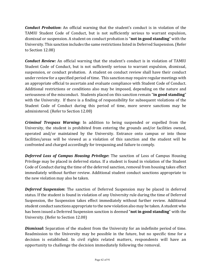*Conduct Probation***:** An official warning that the student's conduct is in violation of the TAMIU Student Code of Conduct, but is not sufficiently serious to warrant expulsion, dismissal or suspension. A student on conduct probation is "**not in good standing**" with the University. This sanction includes the same restrictions listed in Deferred Suspension. (Refer to Section 12.08)

*Conduct Review:* An official warning that the student's conduct is in violation of TAMIU Student Code of Conduct, but is not sufficiently serious to warrant expulsion, dismissal, suspension, or conduct probation. A student on conduct review shall have their conduct under review for a specified period of time. This sanction may require regular meetings with an appropriate official to ascertain and evaluate compliance with Student Code of Conduct. Additional restrictions or conditions also may be imposed, depending on the nature and seriousness of the misconduct. Students placed on this sanction remain "**in good standing**" with the University. If there is a finding of responsibility for subsequent violations of the Student Code of Conduct during this period of time, more severe sanctions may be administered. (Refer to Section 12.08)

**Criminal Trespass Warning:** In addition to being suspended or expelled from the University, the student is prohibited from entering the grounds and/or facilities owned, operated and/or maintained by the University. Entrance onto campus or into those facilities/areas will be viewed as a violation of this sanction and the student will be confronted and charged accordingly for trespassing and failure to comply.

**Deferred Loss of Campus Housing Privilege:** The sanction of Loss of Campus Housing Privilege may be placed in deferred status. If a student is found in violation of the Student Code of Conduct during the time of the deferred sanction, removal from housing takes effect immediately without further review. Additional student conduct sanctions appropriate to the new violation may also be taken.

**Deferred Suspension:** The sanction of Deferred Suspension may be placed in deferred status. If the student is found in violation of any University rule during the time of Deferred Suspension, the Suspension takes effect immediately without further review. Additional student conduct sanctions appropriate to the new violation also may be taken. A student who has been issued a Deferred Suspension sanction is deemed "**not in good standing**" with the University. (Refer to Section 12.08)

**Dismissal:** Separation of the student from the University for an indefinite period of time. Readmission to the University may be possible in the future, but no specific time for a decision is established. In civil rights related matters, respondents will have an opportunity to challenge the decision immediately following the removal.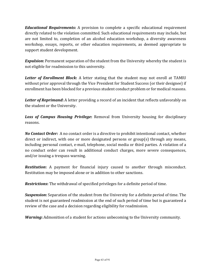*Educational Requirements:* A provision to complete a specific educational requirement directly related to the violation committed. Such educational requirements may include, but are not limited to, completion of an alcohol education workshop, a diversity awareness workshop, essays, reports, or other education requirements, as deemed appropriate to support student development.

**Expulsion:** Permanent separation of the student from the University whereby the student is not eligible for readmission to this university.

**Letter of Enrollment Block:** A letter stating that the student may not enroll at TAMIU without prior approval through the Vice President for Student Success (or their designee) if enrollment has been blocked for a previous student conduct problem or for medical reasons.

**Letter of Reprimand:** A letter providing a record of an incident that reflects unfavorably on the student or the University.

**Loss of Campus Housing Privilege:** Removal from University housing for disciplinary reasons.

*No Contact Order:* A no contact order is a directive to prohibit intentional contact, whether direct or indirect, with one or more designated persons or group(s) through any means, including personal contact, e-mail, telephone, social media or third parties. A violation of a no conduct order can result in additional conduct charges, more severe consequences, and/or issuing a trespass warning.

**Restitution:** A payment for financial injury caused to another through misconduct. Restitution may be imposed alone or in addition to other sanctions.

**Restrictions:** The withdrawal of specified privileges for a definite period of time.

**Suspension:** Separation of the student from the University for a definite period of time. The student is not guaranteed readmission at the end of such period of time but is guaranteed a review of the case and a decision regarding eligibility for readmission.

*Warning*: Admonition of a student for actions unbecoming to the University community.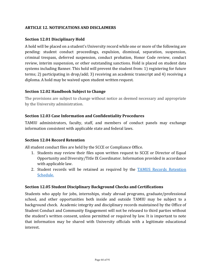### **ARTICLE 12. NOTIFICATIONS AND DISCLAIMERS**

### **Section 12.01 Disciplinary Hold**

A hold will be placed on a student's University record while one or more of the following are pending: student conduct proceedings, expulsion, dismissal, separation, suspension, criminal trespass, deferred suspension, conduct probation, Honor Code review, conduct review, interim suspension, or other outstanding sanctions. Hold is placed on student data systems including Banner. This hold will prevent the student from: 1) registering for future terms; 2) participating in drop/add; 3) receiving an academic transcript and 4) receiving a diploma. A hold may be waived upon student written request.

#### **Section 12.02 Handbook Subject to Change**

The provisions are subject to change without notice as deemed necessary and appropriate by the University administration.

#### **Section 12.03 Case Information and Confidentiality Procedures**

TAMIU administrators, faculty, staff, and members of conduct panels may exchange information consistent with applicable state and federal laws.

#### **Section 12.04 Record Retention**

All student conduct files are held by the SCCE or Compliance Office.

- 1. Students may review their files upon written request to SCCE or Director of Equal Opportunity and Diversity/Title IX Coordinator. Information provided in accordance with applicable law.
- 2. Student records will be retained as required by the **TAMUS** Records Retention Schedule.

#### **Section 12.05 Student Disciplinary Background Checks and Certifications**

Students who apply for jobs, internships, study abroad programs, graduate/professional school, and other opportunities both inside and outside TAMIU may be subject to a background check. Academic integrity and disciplinary records maintained by the Office of Student Conduct and Community Engagement will not be released to third parties without the student's written consent, unless permitted or required by law. It is important to note that information may be shared with University officials with a legitimate educational interest.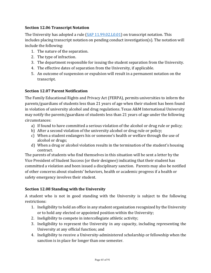## **Section 12.06 Transcript Notation**

The University has adopted a rule  $(SAP 11.99.02.L0.01)$  on transcript notation. This  $includes$  placing transcript notation on pending conduct investigation(s). The notation will include the following:

- 1. The nature of the separation.
- 2. The type of infraction.
- 3. The department responsible for issuing the student separation from the University.
- 4. The effective dates of separation from the University, if applicable.
- 5. An outcome of suspension or expulsion will result in a permanent notation on the transcript.

### **Section 12.07 Parent Notification**

The Family Educational Rights and Privacy Act (FERPA), permits universities to inform the parents/guardians of students less than 21 years of age when their student has been found in violation of university alcohol and drug regulations. Texas A&M International University may notify the parents/guardians of students less than 21 years of age under the following circumstances:

- a) If found to have committed a serious violation of the alcohol or drug rule or policy;
- b) After a second violation of the university alcohol or drug rule or policy;
- c) When a student endangers his or someone's health or welfare through the use of alcohol or drugs;
- d) When a drug or alcohol violation results in the termination of the student's housing contract.

The parents of students who find themselves in this situation will be sent a letter by the Vice President of Student Success (or their designee) indicating that their student has committed a violation and been issued a disciplinary sanction. Parents may also be notified of other concerns about students' behaviors, health or academic progress if a health or safety emergency involves their student.

## **Section 12.08 Standing with the University**

A student who is not in good standing with the University is subject to the following restrictions:

- 1. Ineligibility to hold an office in any student organization recognized by the University or to hold any elected or appointed position within the University;
- 2. Ineligibility to compete in intercollegiate athletic activity;
- 3. Ineligibility to represent the University in any capacity, including representing the University at any official function; and
- 4. Ineligibility to receive a University-administered scholarship or fellowship when the sanction is in place for longer than one semester.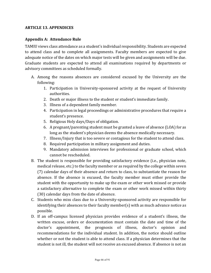### **ARTICLE 13. APPENDICES**

### Appendix A: Attendance Rule

TAMIU views class attendance as a student's individual responsibility. Students are expected to attend class and to complete all assignments. Faculty members are expected to give adequate notice of the dates on which major tests will be given and assignments will be due. Graduate students are expected to attend all examinations required by departments or advisory committees as scheduled formally.

- A. Among the reasons absences are considered excused by the University are the following:
	- 1. Participation in University-sponsored activity at the request of University authorities.
	- 2. Death or major illness to the student or student's immediate family.
	- 3. Illness of a dependent family member.
	- 4. Participation in legal proceedings or administrative procedures that require a student's presence.
	- 5. Religious Holy days/Days of obligation.
	- 6. A pregnant/parenting student must be granted a leave of absence (LOA) for as long as the student's physician deems the absence medically necessary.
	- 7. Illness/Injury that is too severe or contagious for the student to attend class.
	- 8. Required participation in military assignment and duties.
	- 9. Mandatory admission interviews for professional or graduate school, which cannot be rescheduled.
- B. The student is responsible for providing satisfactory evidence (i.e., physician note, medical release, etc.) to the faculty member or as required by the college within seven (7) calendar days of their absence and return to class, to substantiate the reason for absence. If the absence is excused, the faculty member must either provide the student with the opportunity to make up the exam or other work missed or provide a satisfactory alternative to complete the exam or other work missed within thirty (30) calendar days from the date of absence.
- C. Students who miss class due to a University-sponsored activity are responsible for identifying their absences to their faculty member(s) with as much advance notice as possible.
- D. If an off-campus licensed physician provides evidence of a student's illness, the written excuse, orders or documentation must contain the date and time of the doctor's appointment, the prognosis of illness, doctor's opinion and recommendations for the individual student. In addition, the notice should outline whether or not the student is able to attend class. If a physician determines that the student is not ill, the student will not receive an excused absence. If absence is not an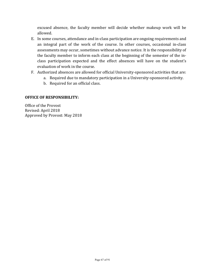excused absence, the faculty member will decide whether makeup work will be allowed.

- E. In some courses, attendance and in-class participation are ongoing requirements and an integral part of the work of the course. In other courses, occasional in-class assessments may occur, sometimes without advance notice. It is the responsibility of the faculty member to inform each class at the beginning of the semester of the inclass participation expected and the effect absences will have on the student's evaluation of work in the course.
- F. Authorized absences are allowed for official University-sponsored activities that are:
	- a. Required due to mandatory participation in a University-sponsored activity.
	- b. Required for an official class.

#### **OFFICE OF RESPONSIBILITY:**

Office of the Provost Revised: April 2018 Approved by Provost: May 2018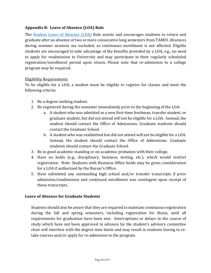### Appendix B: Leave of Absence (LOA) Rule

The Student Leave of Absence (LOA) Rule assists and encourages students to return and graduate after an absence of two or more consecutive long semesters from TAMIU. Absences during summer sessions are excluded, as continuous enrollment is not affected. Eligible students are encouraged to take advantage of the benefits provided by a LOA, e.g., no need to apply for readmission to University and may participate in their regularly scheduled registration/enrollment period upon return. Please note that re-admission to a college program may be required.

#### **Eligibility Requirements**

To be eligible for a LOA, a student must be eligible to register for classes and meet the following criteria:

- 1. Be a degree-seeking student.
- 2. Be registered during the semester immediately prior to the beginning of the LOA:
	- a. A student who was admitted as a new first-time freshman, transfer student, or graduate student, but did not attend will not be eligible for a LOA. Instead, the student should contact the Office of Admissions. Graduate students should contact the Graduate School.
	- b. A student who was readmitted but did not attend will not be eligible for a LOA. Instead, the student should contact the Office of Admissions. Graduate students should contact the Graduate School.
- 3. Be in good academic standing or on academic probation with their college.
- 4. Have no holds (e.g., disciplinary, business, testing, etc.), which would restrict registration. Note: Students with Business Office holds may be given consideration for a LOA if authorized by the Bursar's Office.
- 5. Have submitted any outstanding high school and/or transfer transcripts if prior admission/readmission and continued enrollment was contingent upon receipt of those transcripts.

#### Leave of Absence for Graduate Students

Students should also be aware that they are required to maintain continuous registration during the fall and spring semesters, including registration for thesis, until all requirements for graduation have been met. Interruptions or delays in the course of study which have not been approved in advance by the student's advisory committee chair will interfere with the degree time limits and may result in students having to retake courses and/or apply for re-admission to the program.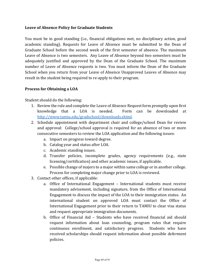#### Leave of Absence Policy for Graduate Students

You must be in good standing (i.e., financial obligations met, no disciplinary action, good academic standing). Requests for Leave of Absence must be submitted to the Dean of Graduate School before the second week of the first semester of absence. The maximum Leave of Absence is two semesters. Any Leave of Absence beyond two semesters must be adequately justified and approved by the Dean of the Graduate School. The maximum number of Leave of Absence requests is two. You must inform the Dean of the Graduate School when you return from your Leave of Absence Unapproved Leaves of Absence may result in the student being required to re-apply to their program.

### **Process for Obtaining a LOA**

Student should do the following:

- 1. Review the rule and complete the Leave of Absence Request form promptly upon first knowledge that a LOA is needed. Form can be downloaded at [http://www.tamiu.edu/gradschool/downloads.shtml.](http://www.tamiu.edu/gradschool/downloads.shtml)
- 2. Schedule appointment with department chair and college/school Dean for review and approval: College/school approval is required for an absence of two or more consecutive semesters to review the LOA application and the following issues:
	- a. Impact on progress toward degree.
	- b. Catalog year and status after LOA.
	- c. Academic standing issues.
	- d. Transfer policies, incomplete grades, agency requirements (e.g., state licensing/certification) and other academic issues, if applicable.
	- e. Possible change of majors to a major within same college or in another college. Process for completing major change prior to LOA is reviewed.
- 3. Contact other offices, if applicable:
	- a. Office of International Engagement International students must receive mandatory advisement, including signature, from the Office of International Engagement to discuss the impact of the LOA to their immigration status. An international student on approved LOA must contact the Office of International Engagement prior to their return to TAMIU to clear visa status and request appropriate immigration documents.
	- b. Office of Financial Aid Students who have received financial aid should request information about loan counseling, program rules that require continuous enrollment, and satisfactory progress. Students who have received scholarships should request information about possible deferment policies.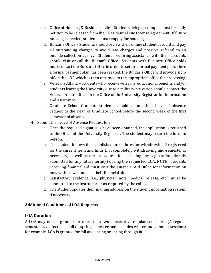- c. Office of Housing & Residence Life Students living on campus must formally petition to be released from their Residential Life License Agreement. If future housing is needed, students must reapply for housing.
- d. Bursar's Office Students should review their online student account and pay all outstanding charges to avoid late charges and possible referral to an outside collection agency. Students requiring assistance with their accounts should visit or call the Bursar's Office. Students with Business Office holds must contact the Bursar's Office in order to setup a formal payment plan. Once a formal payment plan has been created, the Bursar's Office will provide signoff on the LOA which is then returned to the appropriate office for processing.
- e. Veterans Affairs Students who receive veterans' educational benefits and/or students leaving the University due to a military activation should contact the Veteran Affairs Office in the Office of the University Registrar for information and assistance.
- f. Graduate School-Graduate students should submit their leave of absence request to the Dean of Graduate School before the second week of the first semester of absence.
- 4. Submit the Leave of Absence Request form:
	- a. Once the required signatures have been obtained, the application is returned to the Office of the University Registrar. The student may return the form in person.
	- b. The student follows the established procedures for withdrawing if registered for the current term and finds that completely withdrawing mid-semester is necessary, as well as the procedures for canceling any registration already submitted for any future  $term(s)$  during the requested LOA. NOTE: Students receiving financial aid must visit the Financial Aid Office for information on how withdrawal impacts their financial aid.
	- c. Satisfactory evidence (i.e., physician note, medical release, etc.) must be submitted to the instructor or as required by the college.
	- d. The student updates their mailing address on the student information system, if necessary.

## **Additional Conditions of LOA Requests**

#### **LOA Duration**

A LOA may not be granted for more than two consecutive regular semesters. (A regular semester is defined as a fall or spring semester and excludes winter and summer sessions; for example, LOA is granted for fall and spring or spring through fall.)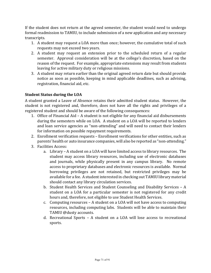If the student does not return at the agreed semester, the student would need to undergo formal readmission to TAMIU, to include submission of a new application and any necessary transcripts.

- 1. A student may request a LOA more than once; however, the cumulative total of such requests may not exceed two years.
- 2. A student may request an extension prior to the scheduled return of a regular semester. Approval consideration will be at the college's discretion, based on the reason of the request. For example, appropriate extensions may result from students leaving for active military duty or religious missions.
- 3. A student may return earlier than the original agreed return date but should provide notice as soon as possible, keeping in mind applicable deadlines, such as advising, registration, financial aid, etc.

# **Student Status during the LOA**

A student granted a Leave of Absence retains their admitted student status. However, the student is not registered and, therefore, does not have all the rights and privileges of a registered student and should be aware of the following consequences:

- 1. Office of Financial Aid A student is not eligible for any financial aid disbursements during the semesters while on LOA. A student on a LOA will be reported to lenders and loan service agencies as "non-attending" and will need to contact their lenders for information on possible repayment requirements.
- 2. Enrollment verification requests Enrollment verifications for other entities, such as parents' health or auto insurance companies, will also be reported as "non-attending."
- 3. Facilities Access:
	- a. Library A student on a LOA will have limited access to library resources. The student may access library resources, including use of electronic databases and journals, while physically present in any campus library. No remote access to proprietary databases and electronic resources is available. Normal borrowing privileges are not retained, but restricted privileges may be available for a fee. A student interested in checking out TAMIU library material should contact any library circulation services.
	- b. Student Health Services and Student Counseling and Disability Services  $A$ student on a LOA for a particular semester is not registered for any credit hours and, therefore, not eligible to use Student Health Services.
	- c. Computing resources A student on a LOA will not have access to computing resources, including computing labs. Students will be able to maintain their TAMIU @dusty accounts.
	- d. Recreational Sports A student on a LOA will lose access to recreational sports.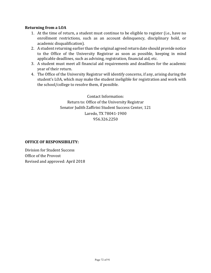#### **Returning from a LOA**

- 1. At the time of return, a student must continue to be eligible to register (i.e., have no enrollment restrictions, such as an account delinquency, disciplinary hold, or academic disqualification).
- 2. A student returning earlier than the original agreed return date should provide notice to the Office of the University Registrar as soon as possible, keeping in mind applicable deadlines, such as advising, registration, financial aid, etc.
- 3. A student must meet all financial aid requirements and deadlines for the academic year of their return.
- 4. The Office of the University Registrar will identify concerns, if any, arising during the student's LOA, which may make the student ineligible for registration and work with the school/college to resolve them, if possible.

Contact Information: Return to: Office of the University Registrar Senator Judith Zaffirini Student Success Center, 121 Laredo, TX 78041-1900 956.326.2250

#### **OFFICE OF RESPONSIBILITY:**

Division for Student Success Office of the Provost Revised and approved: April 2018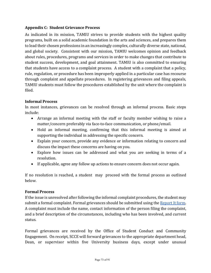## **Appendix C: Student Grievance Process**

As indicated in its mission, TAMIU strives to provide students with the highest quality programs, built on a solid academic foundation in the arts and sciences, and prepares them to lead their chosen professions in an increasingly complex, culturally diverse state, national, and global society. Consistent with our mission, TAMIU welcomes opinion and feedback about rules, procedures, programs and services in order to make changes that contribute to student success, development, and goal attainment. TAMIU is also committed to ensuring that students have access to a complaint process. A student with a complaint that a policy, rule, regulation, or procedure has been improperly applied in a particular case has recourse through complaint and appellate procedures. In registering grievances and filing appeals, TAMIU students must follow the procedures established by the unit where the complaint is filed. 

## **Informal Process**

In most instances, grievances can be resolved through an informal process. Basic steps include:

- Arrange an informal meeting with the staff or faculty member wishing to raise a matter/concern preferably via face-to-face communication, or phone/email.
- Hold an informal meeting, confirming that this informal meeting is aimed at supporting the individual in addressing the specific concern.
- Explain your concern, provide any evidence or information relating to concern and discuss the impact these concerns are having on you.
- Explore how issues can be addressed and what you are seeking in terms of a resolution.
- If applicable, agree any follow up actions to ensure concern does not occur again.

If no resolution is reached, a student may proceed with the formal process as outlined below.

#### **Formal Process**

If the issue is unresolved after following the informal complaint procedures, the student may submit a formal complaint. Formal grievances should be submitted using the Report It form. A complaint must include the name, contact information of the person filing the complaint, and a brief description of the circumstances, including who has been involved, and current status.

Formal grievances are received by the Office of Student Conduct and Community Engagement. On receipt, SCCE will forward grievances to the appropriate department head, Dean, or supervisor within five University business days, except under unusual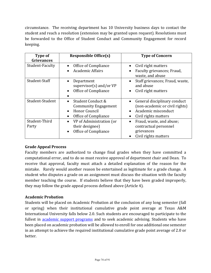circumstance. The receiving department has 10 University business days to contact the student and reach a resolution (extension may be granted upon request). Resolutions must be forwarded to the Office of Student Conduct and Community Engagement for record keeping.

| Type of<br><b>Grievances</b> | <b>Responsible Office(s)</b>                                                                                                            | <b>Type of Concern</b>                                                                                        |
|------------------------------|-----------------------------------------------------------------------------------------------------------------------------------------|---------------------------------------------------------------------------------------------------------------|
| Student-Faculty              | Office of Compliance<br>$\bullet$<br><b>Academic Affairs</b><br>$\bullet$                                                               | Civil right matters<br>Faculty grievances; Fraud,<br>waste, and abuse                                         |
| Student-Staff                | Department<br>$\bullet$<br>supervisor(s) and/or $VP$<br>Office of Compliance<br>$\bullet$                                               | Staff grievances; Fraud, waste,<br>and abuse<br>Civil right matters                                           |
| Student-Student              | Student Conduct &<br>$\bullet$<br><b>Community Engagement</b><br><b>Honor Council</b><br>$\bullet$<br>Office of Compliance<br>$\bullet$ | General disciplinary conduct<br>(non-academic or civil rights)<br>Academic misconduct<br>Civil rights matters |
| Student-Third<br>Party       | VP of Administration (or<br>$\bullet$<br>their designee)<br>Office of Compliance<br>$\bullet$                                           | Fraud, waste, and abuse;<br>contractual personnel<br>grievances<br>Civil rights matters                       |

# **Grade Appeal Process**

Faculty members are authorized to change final grades when they have committed a computational error, and to do so must receive approval of department chair and Dean. To receive that approval, faculty must attach a detailed explanation of the reason for the mistake. Rarely would another reason be entertained as legitimate for a grade change. A student who disputes a grade on an assignment must discuss the situation with the faculty member teaching the course. If students believe that they have been graded improperly, they may follow the grade appeal process defined above (Article 4).

#### **Academic Probation**

Students will be placed on Academic Probation at the conclusion of any long semester (fall or spring) when their institutional cumulative grade point average at Texas A&M International University falls below 2.0. Such students are encouraged to participate to the fullest in **academic support programs** and to seek academic advising. Students who have been placed on academic probation will be allowed to enroll for one additional one semester in an attempt to achieve the required institutional cumulative grade point average of 2.0 or better.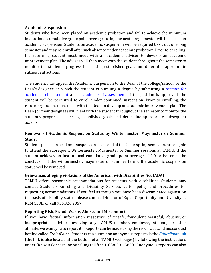#### **Academic Suspension**

Students who have been placed on academic probation and fail to achieve the minimum institutional cumulative grade point average during the next long semester will be placed on academic suspension. Students on academic suspension will be required to sit out one long semester and may re-enroll after such absence under academic probation. Prior to enrolling, the returning student must meet with an academic advisor to develop an academic improvement plan. The advisor will then meet with the student throughout the semester to monitor the student's progress in meeting established goals and determine appropriate subsequent actions.

The student may appeal the Academic Suspension to the Dean of the college/school, or the Dean's designee, in which the student is pursuing a degree by submitting a petition for academic reinstatement and a student self-assessment. If the petition is approved, the student will be permitted to enroll under continued suspension. Prior to enrolling, the returning student must meet with the Dean to develop an academic improvement plan. The Dean (or their designee) will meet with the student throughout the semester to monitor the student's progress in meeting established goals and determine appropriate subsequent actions. 

# **Removal of Academic Suspension Status by Wintermester, Maymester or Summer Study.**

Students placed on academic suspension at the end of the fall or spring semesters are eligible to attend the subsequent Wintermester, Maymester or Summer sessions at TAMIU. If the student achieves an institutional cumulative grade point average of 2.0 or better at the conclusion of the wintermester, maymester or summer terms, the academic suspension status will be removed.

# **Grievances alleging violations of the American with Disabilities Act (ADA)**

TAMIU offers reasonable accommodations for students with disabilities. Students may contact Student Counseling and Disability Services at for policy and procedures for requesting accommodations. If you feel as though you have been discriminated against on the basis of disability status, please contact Director of Equal Opportunity and Diversity at KLM 159B, or call 956.326.2857.

#### **Reporting Risk, Fraud, Waste, Abuse, and Misconduct**

If you have factual information suggestive of unsafe, fraudulent, wasteful, abusive, or inappropriate activities involving any TAMUS member, employee, student, or other affiliate, we want you to report it. Reports can be made using the risk, fraud, and misconduct hotline called *EthicsPoint*. Students can submit an anonymous report via the *EthicsPoint* link (the link is also located at the bottom of all TAMIU webpages) by following the instructions under "Raise a Concern" or by calling toll free 1-888-501-3850. Anonymous reports can also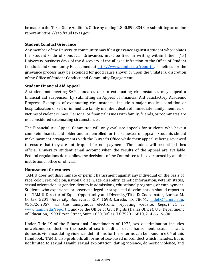be made to the Texas State Auditor's Office by calling 1.800.892.8348 or submitting an online report at https://sao.fraud.texas.gov.

# **Student Conduct Grievance**

Any member of the University community may file a grievance against a student who violates the Student Code of Conduct. Grievances must be filed in writing within fifteen  $(15)$ University business days of the discovery of the alleged infraction to the Office of Student Conduct and Community Engagement at http://www.tamiu.edu/reportit. Timelines for the grievance process may be extended for good cause shown or upon the unilateral discretion of the Office of Student Conduct and Community Engagement.

# **Student Financial Aid Appeal**

A student not meeting SAP standards due to extenuating circumstances may appeal a financial aid suspension by submitting an Appeal of Financial Aid Satisfactory Academic Progress. Examples of extenuating circumstances include a major medical condition or hospitalization of self or immediate family member, death of immediate family member, or victims of violent crimes. Personal or financial issues with family, friends, or roommates are not considered extenuating circumstances.

The Financial Aid Appeal Committee will only evaluate appeals for students who have a complete financial aid folder and are enrolled for the semester of appeal. Students should make payment arrangements with the Bursar's Office while their appeal is being reviewed to ensure that they are not dropped for non-payment. The student will be notified thru official University student email account when the results of the appeal are available. Federal regulations do not allow the decisions of the Committee to be overturned by another institutional office or official.

# **Harassment Grievances**

TAMIU does not discriminate or permit harassment against any individual on the basis of race, color, sex, religion, national origin, age, disability, genetic information, veteran status, sexual orientation or gender identity in admissions, educational programs, or employment. Students who experience or observe alleged or suspected discrimination should report to the TAMIU Director of Equal Opportunity and Diversity/Title IX Coordinator, Lorissa M. Cortez, 5201 University Boulevard, KLM 159B, Laredo, TX 78041, TitleIX@tamiu.edu, 956.326.2857, via the anonymous electronic reporting website, *Report It*, at www.tamiu.edu/reportit, and/or the Office of Civil Rights (Dallas Office), U.S. Department of Education, 1999 Bryan Street, Suite 1620, Dallas, TX 75201-6810, 214.661.9600.

Under Title IX of the Educational Amendments of 1972, sex discrimination includes unwelcome conduct on the basis of sex including sexual harassment, sexual assault, domestic violence, dating violence; definitions for these terms can be found in 6.04 of this Handbook. TAMIU also prohibits all forms of sex-based misconduct which includes, but is not limited to sexual assault, sexual exploitation, dating violence, domestic violence, and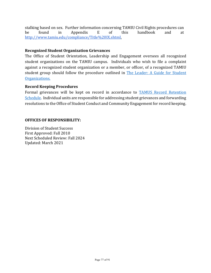stalking based on sex. Further information concerning TAMIU Civil Rights procedures can be found in Appendix E of this handbook and at http://www.tamiu.edu/compliance/Title%20IX.shtml.

#### **Recognized Student Organization Grievances**

The Office of Student Orientation, Leadership and Engagement oversees all recognized student organizations on the TAMIU campus. Individuals who wish to file a complaint against a recognized student organization or a member, or officer, of a recognized TAMIU student group should follow the procedure outlined in The Leader: A Guide for Student Organizations.

#### **Record Keeping Procedures**

Formal grievances will be kept on record in accordance to TAMUS Record Retention Schedule. Individual units are responsible for addressing student grievances and forwarding resolutions to the Office of Student Conduct and Community Engagement for record keeping.

#### **OFFICES OF RESPONSIBILITY:**

Division of Student Success First Approved: Fall 2010 Next Scheduled Review: Fall 2024 Updated: March 2021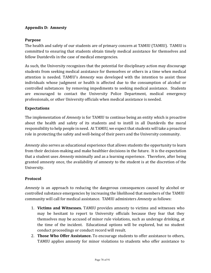## **Appendix D: Amnesty**

#### **Purpose**

The health and safety of our students are of primary concern at TAMIU (TAMIU). TAMIU is committed to ensuring that students obtain timely medical assistance for themselves and fellow Dustdevils in the case of medical emergencies.

As such, the University recognizes that the potential for disciplinary action may discourage students from seeking medical assistance for themselves or others in a time when medical attention is needed. TAMIU's *Amnesty* was developed with the intention to assist those individuals whose judgment or health is affected due to the consumption of alcohol or controlled substances by removing impediments to seeking medical assistance. Students are encouraged to contact the University Police Department, medical emergency professionals, or other University officials when medical assistance is needed.

## **Expectations**

The implementation of *Amnesty* is for TAMIU to continue being an entity which is proactive about the health and safety of its students and to instill in all Dustdevils the moral responsibility to help people in need. At TAMIU, we expect that students will take a proactive role in protecting the safety and well-being of their peers and the University community.

*Amnesty* also serves as educational experience that allows students the opportunity to learn from their decision-making and make healthier decisions in the future. It is the expectation that a student uses *Amnesty* minimally and as a learning experience. Therefore, after being granted amnesty once, the availability of amnesty to the student is at the discretion of the University.

# **Protocol**

*Amnesty* is an approach to reducing the dangerous consequences caused by alcohol or controlled substance emergencies by increasing the likelihood that members of the TAMIU community will call for medical assistance. TAMIU administers *Amnesty* as follows:

- 1. **Victims and Witnesses.** TAMIU provides amnesty to victims and witnesses who may be hesitant to report to University officials because they fear that they themselves may be accused of minor rule violations, such as underage drinking, at the time of the incident. Educational options will be explored, but no student conduct proceedings or conduct record will result.
- 2. **Those Who Offer Assistance.** To encourage students to offer assistance to others, TAMIU applies amnesty for minor violations to students who offer assistance to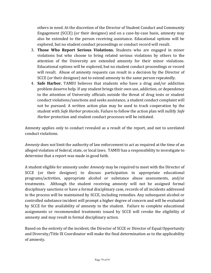others in need. At the discretion of the Director of Student Conduct and Community Engagement (SCCE) (or their designee) and on a case-by-case basis, amnesty may also be extended to the person receiving assistance. Educational options will be explored, but no student conduct proceedings or conduct record will result.

- 3. **Those Who Report Serious Violations.** Students who are engaged in minor violations but who choose to bring related serious violations by others to the attention of the University are extended amnesty for their minor violations. Educational options will be explored, but no student conduct proceedings or record will result. Abuse of amnesty requests can result in a decision by the Director of SCCE (or their designee) not to extend amnesty to the same person repeatedly.
- 4. **Safe Harbor.** TAMIU believes that students who have a drug and/or addiction problem deserve help. If any student brings their own use, addiction, or dependency to the attention of University officials outside the threat of drug tests or student conduct violations/sanctions and seeks assistance, a student conduct complaint will not be pursued. A written action plan may be used to track cooperation by the student with *Safe Harbor* protocols. Failure to follow the action plan will nullify *Safe Harbor* protection and student conduct processes will be initiated.

Amnesty applies only to conduct revealed as a result of the report, and not to unrelated conduct violations.

*Amnesty* does not limit the authority of law enforcement to act as required at the time of an alleged violation of federal, state, or local laws. TAMIU has a responsibility to investigate to determine that a report was made in good faith.

A student eligible for amnesty under *Amnesty* may be required to meet with the Director of SCCE (or their designee) to discuss participation in appropriate educational programs/activities, appropriate alcohol or substance abuse assessments, and/or treatments. Although the student receiving amnesty will not be assigned formal disciplinary sanctions or have a formal disciplinary case, records of all incidents addressed in the process will be maintained by SCCE, including remedies. Any subsequent alcohol or controlled substance incident will prompt a higher degree of concern and will be evaluated by SCCE for the availability of amnesty to the student. Failure to complete educational assignments or recommended treatments issued by SCCE will revoke the eligibility of amnesty and may result in formal disciplinary action.

Based on the entirety of the incident, the Director of SCCE or Director of Equal Opportunity and Diversity/Title IX Coordinator will make the final determination as to the applicability of amnesty.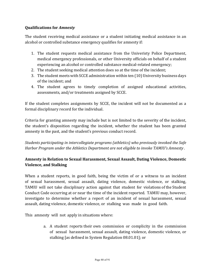## **Qualifications for Amnesty**

The student receiving medical assistance or a student initiating medical assistance in an alcohol or controlled substance emergency qualifies for amnesty if:

- 1. The student requests medical assistance from the Univeristy Police Department, medical emergency professionals, or other University officials on behalf of a student experiencing an alcohol or controlled substance medical-related emergency;
- 2. The student seeking medical attention does so at the time of the incident;
- 3. The student meets with SCCE administration within ten (10) University business days of the incident; and
- 4. The student agrees to timely completion of assigned educational activities, assessments, and/or treatments assigned by SCCE.

If the student completes assignments by SCCE, the incident will not be documented as a formal disciplinary record for the individual.

Criteria for granting amnesty may include but is not limited to the severity of the incident, the student's disposition regarding the incident, whether the student has been granted amnesty in the past, and the student's previous conduct record.

*Students participating in intercollegiate programs (athletics)* who previously invoked the Safe *Harbor Program under the Athletics Department are not eligible to invoke TAMIU's Amnesty.* 

# **Amnesty in Relation to Sexual Harassment, Sexual Assault, Dating Violence, Domestic Violence, and Stalking**

When a student reports, in good faith, being the victim of or a witness to an incident of sexual harassment, sexual assault, dating violence, domestic violence, or stalking, TAMIU will not take disciplinary action against that student for violations of the Student Conduct Code occurring at or near the time of the incident reported. TAMIU may, however, investigate to determine whether a report of an incident of sexual harassment, sexual assault, dating violence, domestic violence, or stalking was made in good faith.

This amnesty will not apply in situations where:

a. A student reports their own commission or complicity in the commission of sexual harassment, sexual assault, dating violence, domestic violence, or stalking [as defined in System Regulation 08.01.01]; or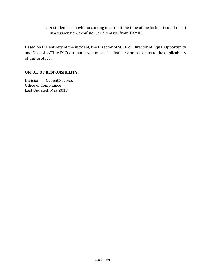b. A student's behavior occurring near or at the time of the incident could result in a suspension, expulsion, or dismissal from TAMIU.

Based on the entirety of the incident, the Director of SCCE or Director of Equal Opportunity and Diversity/Title IX Coordinator will make the final determination as to the applicability of this protocol.

#### **OFFICE OF RESPONSIBILITY:**

Division of Student Success Office of Compliance Last Updated: May 2018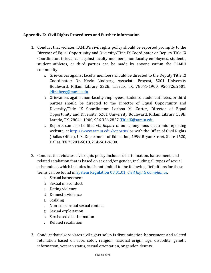# **Appendix E: Civil Rights Procedures and Further Information**

- 1. Conduct that violates TAMIU's civil rights policy should be reported promptly to the Director of Equal Opportunity and Diversity/Title IX Coordinator or Deputy Title IX Coordinator. Grievances against faculty members, non-faculty employees, students, student athletes, or third parties can be made by anyone within the TAMIU community.
	- a. Grievances against faculty members should be directed to the Deputy Title IX Coordinator: Dr. Kevin Lindberg, Associate Provost, 5201 University Boulevard, Killam Library 332B, Laredo, TX, 78041-1900, 956.326.2601, klindberg@tamiu.edu.
	- b. Grievances against non-faculty employees, students, student athletes, or third parties should be directed to the Director of Equal Opportunity and Diversity/Title IX Coordinator: Lorissa M. Cortez, Director of Equal Opportunity and Diversity, 5201 University Boulevard, Killam Library 159B, Laredo, TX, 78041-1900, 956.326.2857, TitleIX@tamiu.edu.
	- c. Reports can also be filed via *Report It*, our anonymous electronic reporting website, at <http://www.tamiu.edu/reportit/> or with the Office of Civil Rights (Dallas Office), U.S. Department of Education, 1999 Bryan Street, Suite 1620, Dallas, TX 75201-6810, 214-661-9600.
- 2. Conduct that violates civil rights policy includes discrimination, harassment, and related retaliation that is based on sex and/or gender, including all types of sexual misconduct, which includes but is not limited to the following. Definitions for these terms can be found in **System Regulation 08.01.01**, *Civil Rights Compliance*.
	- a. Sexual harassment
	- b. Sexual misconduct
	- c. Dating violence
	- d. Domestic violence
	- e. Stalking
	- f. Non-consensual sexual contact
	- g. Sexual exploitation
	- h. Sex-based discrimination
	- i. Related retaliation
- 3. Conduct that also violates civil rights policy is discrimination, harassment, and related retaliation based on race, color, religion, national origin, age, disability, genetic information, veteran status, sexual orientation, or gender identity.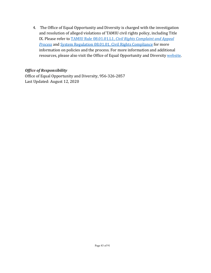4. The Office of Equal Opportunity and Diversity is charged with the investigation and resolution of alleged violations of TAMIU civil rights policy, including Title IX. Please refer to **TAMIU** Rule 08.01.01.L1, *Civil Rights Complaint and Appeal* **Process** and System Regulation 08.01.01, Civil Rights Compliance for more information on policies and the process. For more information and additional resources, please also visit the Office of Equal Opportunity and Diversity website.

# *Office of Responsibility*

Office of Equal Opportunity and Diversity, 956-326-2857 Last Updated: August 12, 2020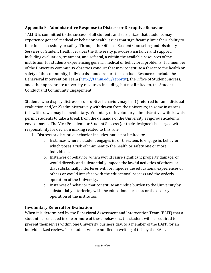# **Appendix F: Administrative Response to Distress or Disruptive Behavior**

TAMIU is committed to the success of all students and recognizes that students may experience general medical or behavior health issues that significantly limit their ability to function successfully or safely. Through the Office of Student Counseling and Disability Services or Student Health Services the University provides assistance and support, including evaluation, treatment, and referral, a within the available resources of the institution, for students experiencing general medical or behavioral problems. If a member of the University community observes conduct that may constitute a threat to the health or safety of the community, individuals should report the conduct. Resources include the Behavioral Intervention Team (http://tamiu.edu/reportit), the Office of Student Success, and other appropriate university resources including, but not limited to, the Student Conduct and Community Engagement.

Students who display distress or disruptive behavior, may be: 1) referred for an individual evaluation and/or 2) administratively withdrawn from the university; in some instances, this withdrawal may be involuntary. Voluntary or involuntary administrative withdrawals permit students to take a break from the demands of the University's rigorous academic environment. The Vice President for Student Success (or their designee) is charged with responsibility for decision making related to this rule.

- 1. Distress or disruptive behavior includes, but is not limited to:
	- a. Instances where a student engages in, or threatens to engage in, behavior which poses a risk of imminent to the health or safety one or more individuals.
	- b. Instances of behavior, which would cause significant property damage, or would directly and substantially impede the lawful activities of others, or that substantially interferes with or impedes the educational experiences of others or would interfere with the educational process and the orderly operation of the University.
	- c. Instances of behavior that constitute an undue burden to the University by substantially interfering with the educational process or the orderly operation of the institution

# **Involuntary Referral for Evaluation**

When it is determined by the Behavioral Assessment and Intervention Team (BAIT) that a student has engaged in one or more of these behaviors, the student will be required to present themselves within one University business day, to a member of the BAIT, for an individualized review. The student will be notified in writing of this by the BAIT.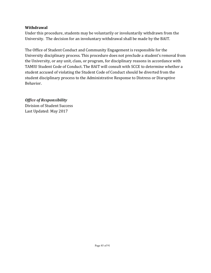# **Withdrawal**

Under this procedure, students may be voluntarily or involuntarily withdrawn from the University. The decision for an involuntary withdrawal shall be made by the BAIT.

The Office of Student Conduct and Community Engagement is responsible for the University disciplinary process. This procedure does not preclude a student's removal from the University, or any unit, class, or program, for disciplinary reasons in accordance with TAMIU Student Code of Conduct. The BAIT will consult with SCCE to determine whether a student accused of violating the Student Code of Conduct should be diverted from the student disciplinary process to the Administrative Response to Distress or Disruptive Behavior.

**Office of Responsibility** Division of Student Success Last Updated: May 2017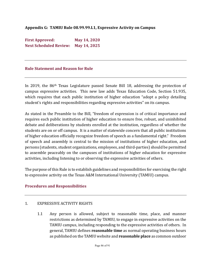# Appendix G: TAMIU Rule 08.99.99.L1, Expressive Activity on Campus

**First Approved: May 14, 2020 Next Scheduled Review: May 14, 2025** 

#### **Rule Statement and Reason for Rule**

In 2019, the 86<sup>th</sup> Texas Legislature passed Senate Bill 18, addressing the protection of campus expressive activities. This new law adds Texas Education Code, Section 51.935, which requires that each public institution of higher education "adopt a policy detailing student's rights and responsibilities regarding expressive activities" on its campus.

As stated in the Preamble to the Bill, "freedom of expression is of critical importance and requires each public institution of higher education to ensure free, robust, and uninhibited debate and deliberations by students enrolled at the institution, regardless of whether the students are on or off campus. It is a matter of statewide concern that all public institutions of higher education officially recognize freedom of speech as a fundamental right." Freedom of speech and assembly is central to the mission of institutions of higher education, and persons (students, student organizations, employees, and third-parties) should be permitted to assemble peaceably on the campuses of institutions of higher education for expressive activities, including listening to or observing the expressive activities of others.

The purpose of this Rule is to establish guidelines and responsibilities for exercising the right to expressive activity on the Texas A&M International University (TAMIU) campus.

#### **Procedures and Responsibilities**

#### 1. EXPRESSIVE ACTIVITY RIGHTS

1.1 Any person is allowed, subject to reasonable time, place, and manner restrictions as determined by TAMIU, to engage in expressive activities on the TAMIU campus, including responding to the expressive activities of others. In general, TAMIU defines **reasonable time** as normal operating business hours as published on the TAMIU website and **reasonable place** as common outdoor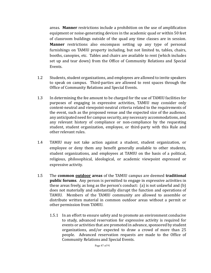areas. Manner restrictions include a prohibition on the use of amplification equipment or noise-generating devices in the academic quad or within 50 feet of classroom buildings outside of the quad any time classes are in session. **Manner** restrictions also encompass setting up any type of personal furnishings on TAMIU property including, but not limited to, tables, chairs, booths, canopies, etc. Tables and chairs are available to rent (which includes set up and tear down) from the Office of Community Relations and Special Events. 

- 1.2 Students, student organizations, and employees are allowed to invite speakers to speak on campus. Third-parties are allowed to rent spaces through the Office of Community Relations and Special Events.
- 1.3 In determining the fee amount to be charged for the use of TAMIU facilities for purposes of engaging in expressive activities, TAMIU may consider only content-neutral and viewpoint-neutral criteria related to the requirements of the event, such as the proposed venue and the expected size of the audience, any anticipated need for campus security, any necessary accommodations, and any relevant history of compliance or non-compliance by the requesting student, student organization, employee, or third-party with this Rule and other relevant rules.
- 1.4 TAMIU may not take action against a student, student organization, or employee or deny them any benefit generally available to other students, student organizations, and employees at TAMIU on the basis of a political, religious, philosophical, ideological, or academic viewpoint expressed or expressive activity.
- 1.5 The **common <u>outdoor</u> areas** of the TAMIU campus are deemed **traditional public forums**. Any person is permitted to engage in expressive activities in these areas freely, as long as the person's conduct:  $(a)$  is not unlawful and  $(b)$ does not materially and substantially disrupt the function and operations of TAMIU. Members of the TAMIU community are allowed to assemble or distribute written material in common outdoor areas without a permit or other permission from TAMIU.
	- 1.5.1 In an effort to ensure safety and to promote an environment conducive to study, advanced reservation for expressive activity is required for events or activities that are promoted in advance, sponsored by student organizations, and/or expected to draw a crowd of more than 25 people. Advanced reservation requests are made to the Office of Community Relations and Special Events.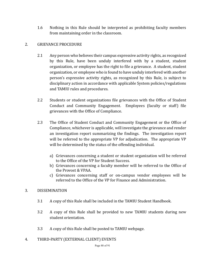1.6 Nothing in this Rule should be interpreted as prohibiting faculty members from maintaining order in the classroom.

# 2. GRIEVANCE PROCEDURE

- 2.1 Any person who believes their campus expressive activity rights, as recognized by this Rule, have been unduly interfered with by a student, student organization, or employee has the right to file a grievance. A student, student organization, or employee who is found to have unduly interfered with another person's expressive activity rights, as recognized by this Rule, is subject to disciplinary action in accordance with applicable System policies/regulations and TAMIU rules and procedures.
- 2.2 Students or student organizations file grievances with the Office of Student Conduct and Community Engagement. Employees (faculty or staff) file grievances with the Office of Compliance.
- 2.3 The Office of Student Conduct and Community Engagement or the Office of Compliance, whichever is applicable, will investigate the grievance and render an investigation report summarizing the findings. The investigation report will be referred to the appropriate VP for adjudication. The appropriate VP will be determined by the status of the offending individual.
	- a) Grievances concerning a student or student organization will be referred to the Office of the VP for Student Success.
	- b) Grievances concerning a faculty member will be referred to the Office of the Provost & VPAA.
	- c) Grievances concerning staff or on-campus vendor employees will be referred to the Office of the VP for Finance and Administration.

# 3. DISSEMINATION

- 3.1 A copy of this Rule shall be included in the TAMIU Student Handbook.
- 3.2 A copy of this Rule shall be provided to new TAMIU students during new student orientation.
- 3.3 A copy of this Rule shall be posted to TAMIU webpage.
- 4. THIRD-PARTY (EXTERNAL CLIENT) EVENTS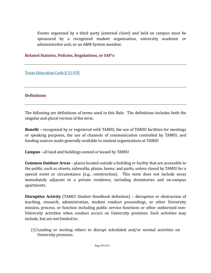Events organized by a third party (external client) and held on campus must be sponsored by a recognized student organization, university academic or administrative unit, or an A&M System member.

## **Related Statutes, Policies, Regulations, or SAP's**

Texas Education Code § 51.935

## **Definitions**

The following are definitions of terms used in this Rule. The definitions includes both the singular and plural version of the term.

**Benefit** – recognized by or registered with TAMIU, the use of TAMIU facilities for meetings or speaking purposes, the use of channels of communication controlled by TAMIU, and funding sources made generally available to student organizations at TAMIU

**Campus** - all land and buildings owned or leased by TAMIU

**Common Outdoor Areas** – places located outside a building or facility that are accessible to the public, such as streets, sidewalks, plazas, lawns, and parks, unless closed by TAMIU for a special event or circumstance (e.g., construction). This term does not include areas immediately adjacent to a private residence, including dormitories and on-campus apartments.

**Disruptive Activity** (TAMIU *Student Handbook* definition) – disruption or obstruction of teaching, research, administration, student conduct proceedings, or other University mission, process, or function including public service functions or other authorized non-University activities when conduct occurs on University premises. Such activities may include, but are not limited to:

(1) Leading or inciting others to disrupt scheduled and/or normal activities on University premises.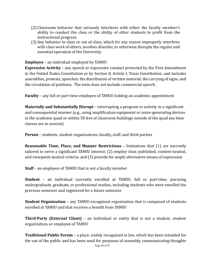- (2) Classroom behavior that seriously interferes with either the faculty member's ability to conduct the class or the ability of other students to profit from the instructional program.
- (3) Any behavior in class or out of class, which for any reason improperly interferes with class work of others, involves disorder, or otherwise disrupts the regular and essential operation of the University.

**Employee** – an individual employed by TAMIU

**Expressive Activity** – any speech or expressive conduct protected by the First Amendment to the United States Constitution or by Section 8, Article I, Texas Constitution, and includes assemblies, protests, speeches, the distribution of written material, the carrying of signs, and the circulation of petitions. The term does not include commercial speech.

**Faculty** – any full or part-time employee of TAMIU holding an academic appointment

**Materially and Substantially Disrupt** – interrupting a program or activity in a significant and consequential manner (e.g., using amplification equipment or noise-generating devices in the academic quad or within 50 feet of classroom buildings outside of the quad any time classes are in session)

**Person** – students, student organizations, faculty, staff, and third-parties

**Reasonable Time, Place, and Manner Restrictions** – limitations that (1) are narrowly tailored to serve a significant TAMIU interest; (2) employ clear, published, content-neutral, and viewpoint-neutral criteria; and (3) provide for ample alternative means of expression

**Staff** – an employee of TAMIU that is not a faculty member

**Student** - an individual currently enrolled at TAMIU, full or part-time, pursuing undergraduate, graduate, or professional studies, including students who were enrolled the previous semester and registered for a future semester

**Student Organization** – any TAMIU-recognized organization that is composed of students enrolled at TAMIU and that receives a benefit from TAMIU

**Third-Party (External Client)** – an individual or entity that is not a student, student organization, or employee of TAMIU

**Traditional Public Forum** – a place, widely recognized in law, which has been intended for the use of the public and has been used for purposes of assembly, communicating thoughts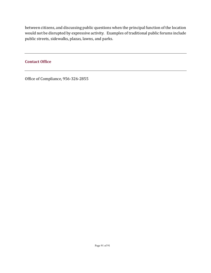between citizens, and discussing public questions when the principal function of the location would not be disrupted by expressive activity. Examples of traditional public forums include public streets, sidewalks, plazas, lawns, and parks.

# **Contact Office**

Office of Compliance, 956-326-2855